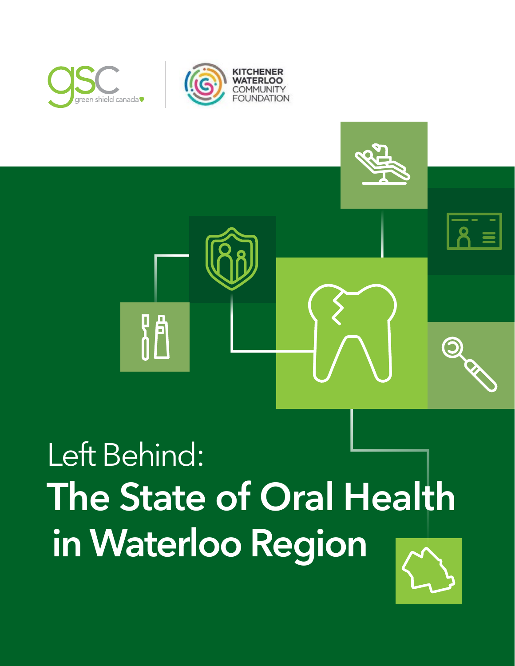

## Left Behind: **The State of Oral Health in Waterloo Region**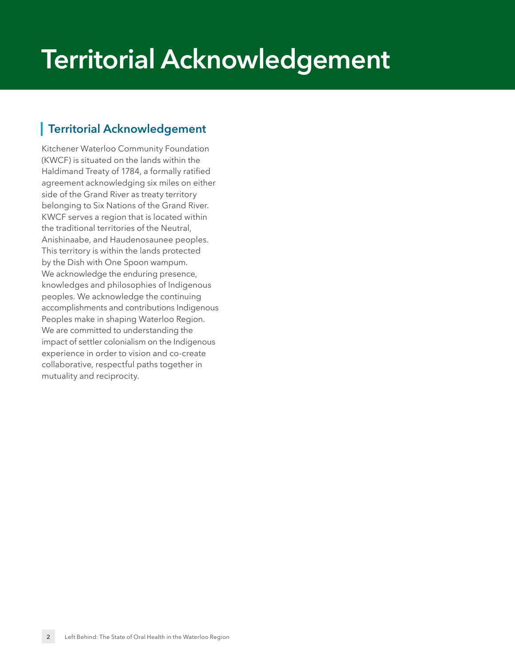## **Territorial Acknowledgement**

#### <span id="page-1-0"></span>**Territorial Acknowledgement**

Kitchener Waterloo Community Foundation (KWCF) is situated on the lands within the Haldimand Treaty of 1784, a formally ratified agreement acknowledging six miles on either side of the Grand River as treaty territory belonging to Six Nations of the Grand River. KWCF serves a region that is located within the traditional territories of the Neutral, Anishinaabe, and Haudenosaunee peoples. This territory is within the lands protected by the Dish with One Spoon wampum. We acknowledge the enduring presence, knowledges and philosophies of Indigenous peoples. We acknowledge the continuing accomplishments and contributions Indigenous Peoples make in shaping Waterloo Region. We are committed to understanding the impact of settler colonialism on the Indigenous experience in order to vision and co-create collaborative, respectful paths together in mutuality and reciprocity.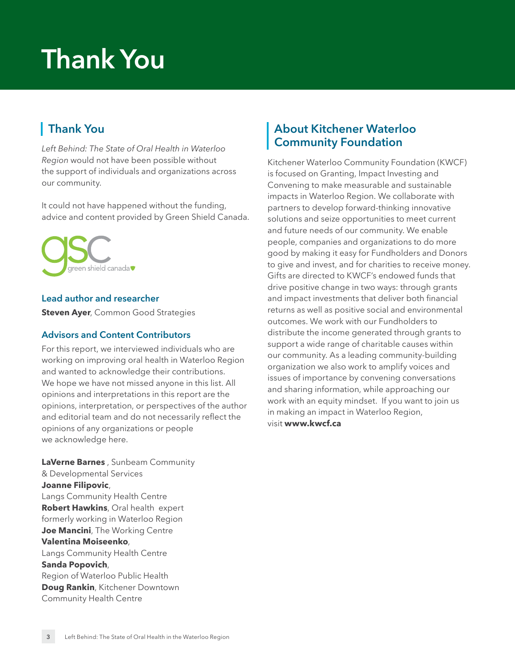## **Thank You**

#### **Thank You**

*Left Behind: The State of Oral Health in Waterloo Region* would not have been possible without the support of individuals and organizations across our community.

It could not have happened without the funding, advice and content provided by Green Shield Canada.



#### **Lead author and researcher**

**Steven Ayer**, Common Good Strategies

#### **Advisors and Content Contributors**

For this report, we interviewed individuals who are working on improving oral health in Waterloo Region and wanted to acknowledge their contributions. We hope we have not missed anyone in this list. All opinions and interpretations in this report are the opinions, interpretation, or perspectives of the author and editorial team and do not necessarily reflect the opinions of any organizations or people we acknowledge here.

**LaVerne Barnes** , Sunbeam Community & Developmental Services **Joanne Filipovic**, Langs Community Health Centre **Robert Hawkins**, Oral health expert formerly working in Waterloo Region **Joe Mancini**, The Working Centre **Valentina Moiseenko**, Langs Community Health Centre **Sanda Popovich**, Region of Waterloo Public Health **Doug Rankin**, Kitchener Downtown Community Health Centre

#### **About Kitchener Waterloo Community Foundation**

Kitchener Waterloo Community Foundation (KWCF) is focused on Granting, Impact Investing and Convening to make measurable and sustainable impacts in Waterloo Region. We collaborate with partners to develop forward-thinking innovative solutions and seize opportunities to meet current and future needs of our community. We enable people, companies and organizations to do more good by making it easy for Fundholders and Donors to give and invest, and for charities to receive money. Gifts are directed to KWCF's endowed funds that drive positive change in two ways: through grants and impact investments that deliver both financial returns as well as positive social and environmental outcomes. We work with our Fundholders to distribute the income generated through grants to support a wide range of charitable causes within our community. As a leading community-building organization we also work to amplify voices and issues of importance by convening conversations and sharing information, while approaching our work with an equity mindset. If you want to join us in making an impact in Waterloo Region, visit **[www.kwcf.ca](http://www.kwcf.ca)**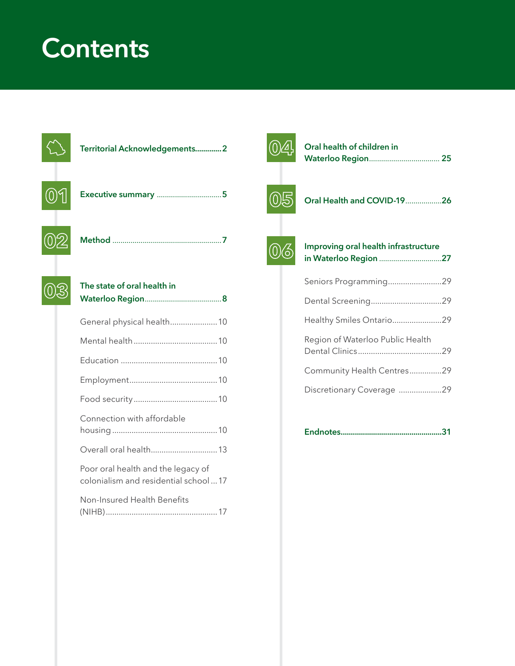## **Contents**



| ilic state of olan health ill                                              |  |
|----------------------------------------------------------------------------|--|
| General physical health 10                                                 |  |
|                                                                            |  |
|                                                                            |  |
|                                                                            |  |
|                                                                            |  |
| Connection with affordable                                                 |  |
| Overall oral health 13                                                     |  |
| Poor oral health and the legacy of<br>colonialism and residential school17 |  |
| Non-Insured Health Benefits                                                |  |
|                                                                            |  |



| Oral health of children in |  |
|----------------------------|--|
| <b>Waterloo Region 25</b>  |  |



|  |  |  |  |  | Oral Health and COVID-1926 |  |
|--|--|--|--|--|----------------------------|--|
|--|--|--|--|--|----------------------------|--|



#### **[Improving oral health infrastructure](#page-26-0)  in Waterloo Region** ...............................**27**

| Seniors Programming29            |  |
|----------------------------------|--|
|                                  |  |
| Healthy Smiles Ontario29         |  |
| Region of Waterloo Public Health |  |
| Community Health Centres29       |  |
| Discretionary Coverage 29        |  |
|                                  |  |

**[Endnotes ..................................................31](#page-30-0)**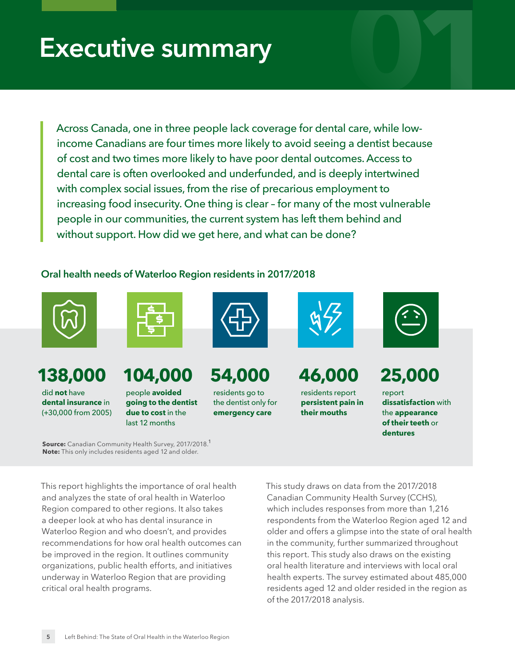# <span id="page-4-0"></span>**Executive summary \begin{array}{|c|c|} \hline \textbf{1} & \textbf{1} & \textbf{1} & \textbf{1} & \textbf{1} & \textbf{1} & \textbf{1} & \textbf{1} & \textbf{1} & \textbf{1} & \textbf{1} & \textbf{1} & \textbf{1} & \textbf{1} & \textbf{1} & \textbf{1} & \textbf{1} & \textbf{1} & \textbf{1} & \textbf{1} & \textbf{1} & \textbf{1} & \textbf{1} & \textbf{1} & \textbf{1} & \textbf{1} & \textbf{1}**

Across Canada, one in three people lack coverage for dental care, while lowincome Canadians are four times more likely to avoid seeing a dentist because of cost and two times more likely to have poor dental outcomes. Access to dental care is often overlooked and underfunded, and is deeply intertwined with complex social issues, from the rise of precarious employment to increasing food insecurity. One thing is clear – for many of the most vulnerable people in our communities, the current system has left them behind and without support. How did we get here, and what can be done?

#### **Oral health needs of Waterloo Region residents in 2017/2018**



### **138,000 104,000 54,000 46,000 25,000**

did **not** have **dental insurance** in (+30,000 from 2005)



people **avoided going to the dentist due to cost** in the last 12 months



<span id="page-4-1"></span>residents go to the dentist only for **emergency care**



residents report **persistent pain in their mouths**



report **dissatisfaction** with the **appearance of their teeth** or **dentures**

**Source:** Canadian Community Health Survey, 20[1](#page-30-1)7/2018.<sup>1</sup> **Note:** This only includes residents aged 12 and older.

This report highlights the importance of oral health and analyzes the state of oral health in Waterloo Region compared to other regions. It also takes a deeper look at who has dental insurance in Waterloo Region and who doesn't, and provides recommendations for how oral health outcomes can be improved in the region. It outlines community organizations, public health efforts, and initiatives underway in Waterloo Region that are providing critical oral health programs.

This study draws on data from the 2017/2018 Canadian Community Health Survey (CCHS), which includes responses from more than 1,216 respondents from the Waterloo Region aged 12 and older and offers a glimpse into the state of oral health in the community, further summarized throughout this report. This study also draws on the existing oral health literature and interviews with local oral health experts. The survey estimated about 485,000 residents aged 12 and older resided in the region as of the 2017/2018 analysis.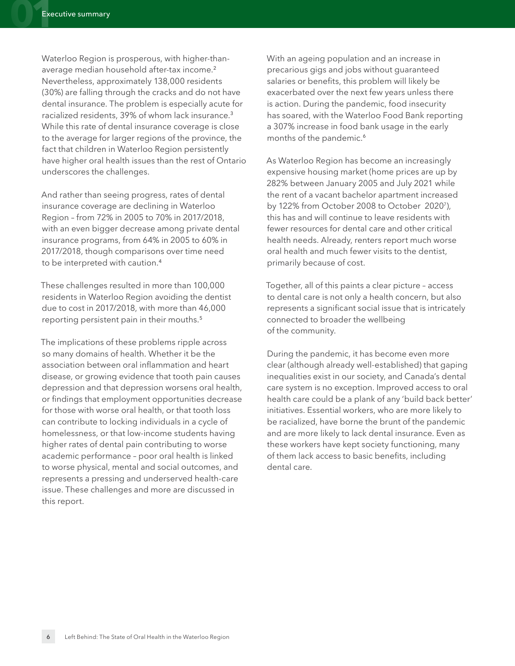Waterloo Region is prosperous, with higher-thanaverage median household after-tax income.[2](#page-30-2) Nevertheless, approximately 138,000 residents (30%) are falling through the cracks and do not have dental insurance. The problem is especially acute for racialized residents, 39% of whom lack insurance.[3](#page-30-3) While this rate of dental insurance coverage is close to the average for larger regions of the province, the fact that children in Waterloo Region persistently have higher oral health issues than the rest of Ontario underscores the challenges.

And rather than seeing progress, rates of dental insurance coverage are declining in Waterloo Region – from 72% in 2005 to 70% in 2017/2018, with an even bigger decrease among private dental insurance programs, from 64% in 2005 to 60% in 2017/2018, though comparisons over time need to be interpreted with caution.[4](#page-30-4)

These challenges resulted in more than 100,000 residents in Waterloo Region avoiding the dentist due to cost in 2017/2018, with more than 46,000 reporting persistent pain in their mouths.<sup>[5](#page-30-5)</sup>

The implications of these problems ripple across so many domains of health. Whether it be the association between oral inflammation and heart disease, or growing evidence that tooth pain causes depression and that depression worsens oral health, or findings that employment opportunities decrease for those with worse oral health, or that tooth loss can contribute to locking individuals in a cycle of homelessness, or that low-income students having higher rates of dental pain contributing to worse academic performance – poor oral health is linked to worse physical, mental and social outcomes, and represents a pressing and underserved health-care issue. These challenges and more are discussed in this report.

<span id="page-5-0"></span>With an ageing population and an increase in precarious gigs and jobs without guaranteed salaries or benefits, this problem will likely be exacerbated over the next few years unless there is action. During the pandemic, food insecurity has soared, with the Waterloo Food Bank reporting a 307% increase in food bank usage in the early months of the pandemic.<sup>[6](#page-30-6)</sup>

<span id="page-5-5"></span><span id="page-5-4"></span><span id="page-5-1"></span>As Waterloo Region has become an increasingly expensive housing market (home prices are up by 282% between January 2005 and July 2021 while the rent of a vacant bachelor apartment increased by 122% from October 2008 to October 202[07\)](#page-30-7), this has and will continue to leave residents with fewer resources for dental care and other critical health needs. Already, renters report much worse oral health and much fewer visits to the dentist, primarily because of cost.

<span id="page-5-3"></span><span id="page-5-2"></span>Together, all of this paints a clear picture – access to dental care is not only a health concern, but also represents a significant social issue that is intricately connected to broader the wellbeing of the community.

During the pandemic, it has become even more clear (although already well-established) that gaping inequalities exist in our society, and Canada's dental care system is no exception. Improved access to oral health care could be a plank of any 'build back better' initiatives. Essential workers, who are more likely to be racialized, have borne the brunt of the pandemic and are more likely to lack dental insurance. Even as these workers have kept society functioning, many of them lack access to basic benefits, including dental care.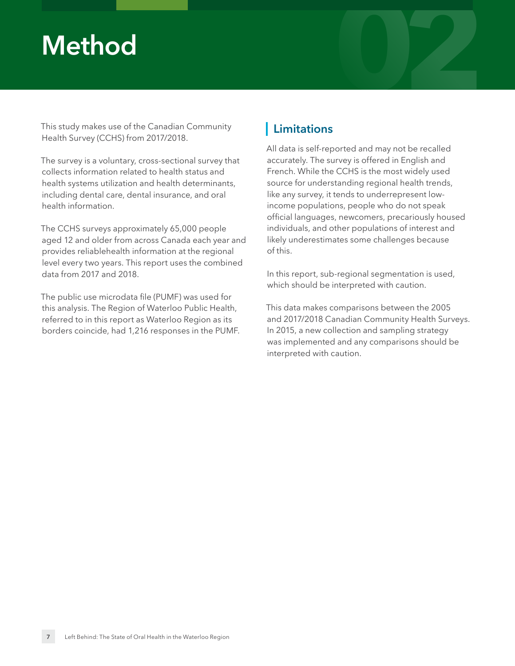# <span id="page-6-0"></span>**Method 02**

This study makes use of the Canadian Community Health Survey (CCHS) from 2017/2018.

The survey is a voluntary, cross-sectional survey that collects information related to health status and health systems utilization and health determinants, including dental care, dental insurance, and oral health information.

The CCHS surveys approximately 65,000 people aged 12 and older from across Canada each year and provides reliablehealth information at the regional level every two years. This report uses the combined data from 2017 and 2018.

The public use microdata file (PUMF) was used for this analysis. The Region of Waterloo Public Health, referred to in this report as Waterloo Region as its borders coincide, had 1,216 responses in the PUMF.

#### **Limitations**

All data is self-reported and may not be recalled accurately. The survey is offered in English and French. While the CCHS is the most widely used source for understanding regional health trends, like any survey, it tends to underrepresent lowincome populations, people who do not speak official languages, newcomers, precariously housed individuals, and other populations of interest and likely underestimates some challenges because of this.

In this report, sub-regional segmentation is used, which should be interpreted with caution.

This data makes comparisons between the 2005 and 2017/2018 Canadian Community Health Surveys. In 2015, a new collection and sampling strategy was implemented and any comparisons should be interpreted with caution.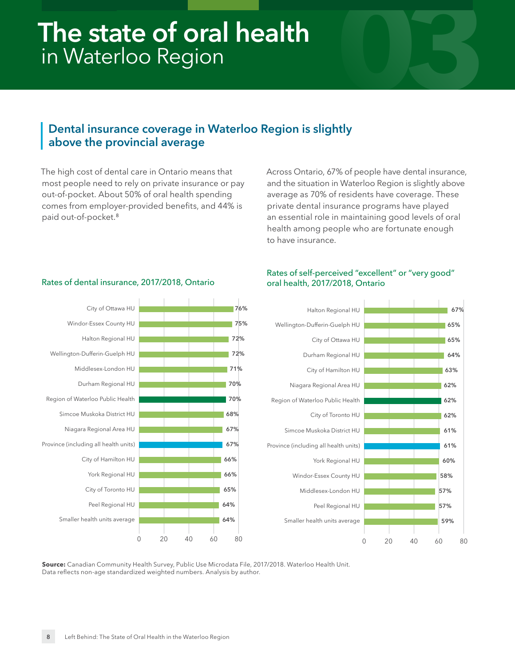### <span id="page-7-0"></span>**03 The state of oral health**  in Waterloo Region

#### **Dental insurance coverage in Waterloo Region is slightly above the provincial average**

<span id="page-7-1"></span>The high cost of dental care in Ontario means that most people need to rely on private insurance or pay out-of-pocket. About 50% of oral health spending comes from employer-provided benefits, and 44% is paid out-of-pocket.[8](#page-30-8)

Rates of dental insurance, 2017/2018, Ontario

Across Ontario, 67% of people have dental insurance, and the situation in Waterloo Region is slightly above average as 70% of residents have coverage. These private dental insurance programs have played an essential role in maintaining good levels of oral health among people who are fortunate enough to have insurance.



#### Rates of self-perceived "excellent" or "very good" oral health, 2017/2018, Ontario



**Source:** Canadian Community Health Survey, Public Use Microdata File, 2017/2018. Waterloo Health Unit. Data reflects non-age standardized weighted numbers. Analysis by author.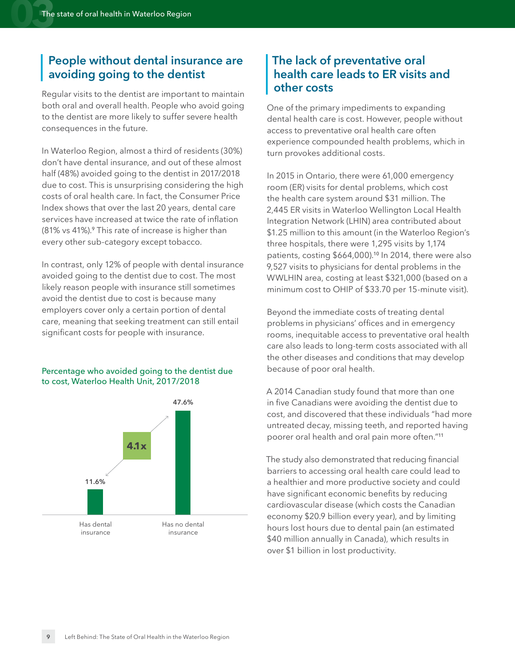#### **People without dental insurance are avoiding going to the dentist**

Regular visits to the dentist are important to maintain both oral and overall health. People who avoid going to the dentist are more likely to suffer severe health consequences in the future.

In Waterloo Region, almost a third of residents (30%) don't have dental insurance, and out of these almost half (48%) avoided going to the dentist in 2017/2018 due to cost. This is unsurprising considering the high costs of oral health care. In fact, the Consumer Price Index shows that over the last 20 years, dental care services have increased at twice the rate of inflation (81% vs 41%).[9](#page-30-9) This rate of increase is higher than every other sub-category except tobacco.

<span id="page-8-0"></span>In contrast, only 12% of people with dental insurance avoided going to the dentist due to cost. The most likely reason people with insurance still sometimes avoid the dentist due to cost is because many employers cover only a certain portion of dental care, meaning that seeking treatment can still entail significant costs for people with insurance.

#### Percentage who avoided going to the dentist due to cost, Waterloo Health Unit, 2017/2018



#### **The lack of preventative oral health care leads to ER visits and other costs**

One of the primary impediments to expanding dental health care is cost. However, people without access to preventative oral health care often experience compounded health problems, which in turn provokes additional costs.

In 2015 in Ontario, there were 61,000 emergency room (ER) visits for dental problems, which cost the health care system around \$31 million. The 2,445 ER visits in Waterloo Wellington Local Health Integration Network (LHIN) area contributed about \$1.25 million to this amount (in the Waterloo Region's three hospitals, there were 1,295 visits by 1,174 patients, costing \$664,000).[10](#page-30-10) In 2014, there were also 9,527 visits to physicians for dental problems in the WWLHIN area, costing at least \$321,000 (based on a minimum cost to OHIP of \$33.70 per 15-minute visit).

<span id="page-8-1"></span>Beyond the immediate costs of treating dental problems in physicians' offices and in emergency rooms, inequitable access to preventative oral health care also leads to long-term costs associated with all the other diseases and conditions that may develop because of poor oral health.

A 2014 Canadian study found that more than one in five Canadians were avoiding the dentist due to cost, and discovered that these individuals "had more untreated decay, missing teeth, and reported having poorer oral health and oral pain more often."[11](#page-30-11)

<span id="page-8-2"></span>The study also demonstrated that reducing financial barriers to accessing oral health care could lead to a healthier and more productive society and could have significant economic benefits by reducing cardiovascular disease (which costs the Canadian economy \$20.9 billion every year), and by limiting hours lost hours due to dental pain (an estimated \$40 million annually in Canada), which results in over \$1 billion in lost productivity.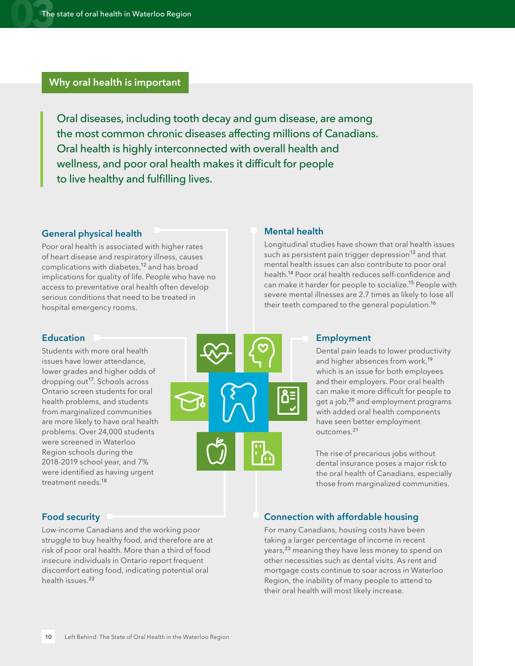#### **Why oral health is important**

Oral diseases, including tooth decay and gum disease, are among the most common chronic diseases affecting millions of Canadians. Oral health is highly interconnected with overall health and wellness, and poor oral health makes it difficult for people to live healthy and fulfilling lives.

#### <span id="page-9-0"></span>**General physical health**

Poor oral health is associated with higher rates of heart disease and respiratory illness, causes complications with diabetes,<sup>[12](#page-30-12)</sup> and has broad implications for quality of life. People who have no access to preventative oral health often develop serious conditions that need to be treated in hospital emergency rooms.

#### <span id="page-9-1"></span>**Mental health**

<span id="page-9-8"></span>Longitudinal studies have shown that oral health issues such as persistent pain trigger depression<sup>[13](#page-30-13)</sup> and that mental health issues can also contribute to poor oral health.[14](#page-30-14) Poor oral health reduces self-confidence and can make it harder for people to socialize.<sup>[15](#page-30-15)</sup> People with severe mental illnesses are 2.7 times as likely to lose all their teeth compared to the general population.<sup>[16](#page-30-16)</sup>

#### <span id="page-9-2"></span>**Education**

<span id="page-9-11"></span>Students with more oral health issues have lower attendance, lower grades and higher odds of dropping out<sup>[17](#page-30-17)</sup>. Schools across Ontario screen students for oral health problems, and students from marginalized communities are more likely to have oral health problems. Over 24,000 students were screened in Waterloo Region schools during the 2018-2019 school year, and 7% were identified as having urgent treatment needs.<sup>[18](#page-30-18)</sup>

<span id="page-9-6"></span>

#### <span id="page-9-10"></span><span id="page-9-9"></span><span id="page-9-7"></span><span id="page-9-3"></span>**Employment**

<span id="page-9-14"></span><span id="page-9-13"></span>Dental pain leads to lower productivity and higher absences from work,<sup>[19](#page-30-19)</sup> which is an issue for both employees and their employers. Poor oral health can make it more difficult for people to get a job,[20](#page-30-20) and employment programs with added oral health components have seen better employment outcomes.[21](#page-30-21)

<span id="page-9-15"></span>The rise of precarious jobs without dental insurance poses a major risk to the oral health of Canadians, especially those from marginalized communities.

#### <span id="page-9-12"></span><span id="page-9-4"></span>**Food security**

<span id="page-9-16"></span>Low-income Canadians and the working poor struggle to buy healthy food, and therefore are at risk of poor oral health. More than a third of food insecure individuals in Ontario report frequent discomfort eating food, indicating potential oral health issues.<sup>[22](#page-30-22)</sup>

#### <span id="page-9-5"></span>**Connection with affordable housing**

<span id="page-9-17"></span>For many Canadians, housing costs have been taking a larger percentage of income in recent years,<sup>[23](#page-30-23)</sup> meaning they have less money to spend on other necessities such as dental visits. As rent and mortgage costs continue to soar across in Waterloo Region, the inability of many people to attend to their oral health will most likely increase.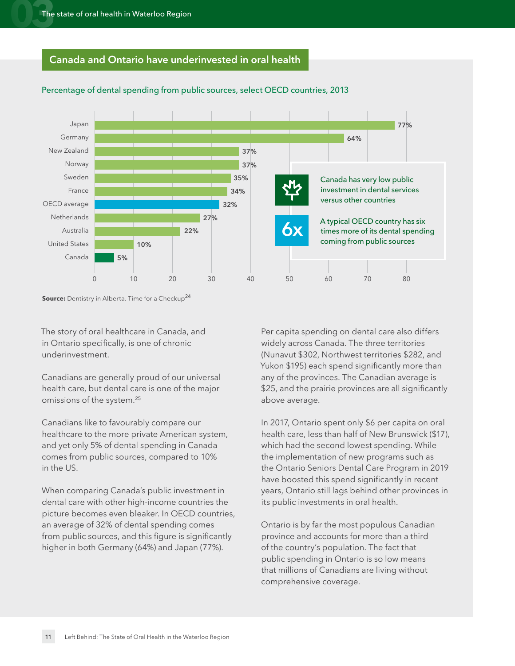#### **Canada and Ontario have underinvested in oral health**



#### Percentage of dental spending from public sources, select OECD countries, 2013

**Source:** Dentistry in Alberta. Time for a Checkup<sup>[24](#page-30-24)</sup>

The story of oral healthcare in Canada, and in Ontario specifically, is one of chronic underinvestment.

Canadians are generally proud of our universal health care, but dental care is one of the major omissions of the system.[25](#page-30-25)

Canadians like to favourably compare our healthcare to the more private American system, and yet only 5% of dental spending in Canada comes from public sources, compared to 10% in the US.

dental care with other high-income countries the picture becomes even bleaker. In OECD countries, an average of 32% of dental spending comes from public sources, and this figure is significantly higher in both Germany (64%) and Japan (77%).

<span id="page-10-0"></span>Per capita spending on dental care also differs widely across Canada. The three territories (Nunavut \$302, Northwest territories \$282, and Yukon \$195) each spend significantly more than any of the provinces. The Canadian average is \$25, and the prairie provinces are all significantly above average.

<span id="page-10-1"></span>In 2017, Ontario spent only \$6 per capita on oral health care, less than half of New Brunswick (\$17), which had the second lowest spending. While the implementation of new programs such as the Ontario Seniors Dental Care Program in 2019 have boosted this spend significantly in recent years, Ontario still lags behind other provinces in its public investments in oral health. **0 10 20 30 40 50 60 70 80** When comparing Canada's public investment in

> Ontario is by far the most populous Canadian province and accounts for more than a third of the country's population. The fact that public spending in Ontario is so low means that millions of Canadians are living without comprehensive coverage.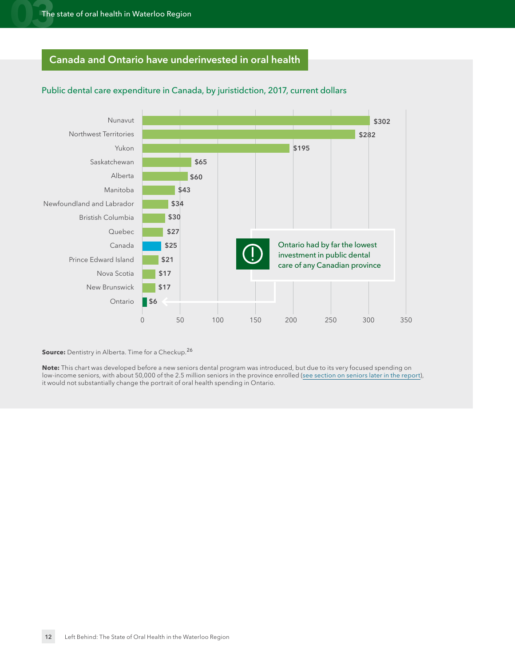#### **Canada and Ontario have underinvested in oral health**



#### Public dental care expenditure in Canada, by juristidction, 2017, current dollars

<span id="page-11-0"></span>**Source:** Dentistry in Alberta. Time for a Checkup.<sup>[26](#page-31-0)</sup>

**Note:** This chart was developed before a new seniors dental program was introduced, but due to its very focused spending on low-income seniors, with about 50,000 of the 2.5 million seniors in the province enrolled (see section on seniors later in the report), it would not substantially change the portrait of oral health spending in Ontario.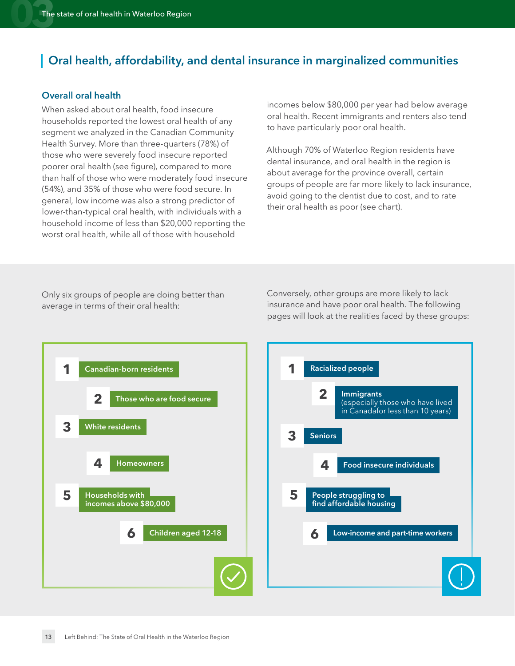#### **Oral health, affordability, and dental insurance in marginalized communities**

#### <span id="page-12-0"></span>**Overall oral health**

When asked about oral health, food insecure households reported the lowest oral health of any segment we analyzed in the Canadian Community Health Survey. More than three-quarters (78%) of those who were severely food insecure reported poorer oral health (see figure), compared to more than half of those who were moderately food insecure (54%), and 35% of those who were food secure. In general, low income was also a strong predictor of lower-than-typical oral health, with individuals with a household income of less than \$20,000 reporting the worst oral health, while all of those with household

incomes below \$80,000 per year had below average oral health. Recent immigrants and renters also tend to have particularly poor oral health.

Although 70% of Waterloo Region residents have dental insurance, and oral health in the region is about average for the province overall, certain groups of people are far more likely to lack insurance, avoid going to the dentist due to cost, and to rate their oral health as poor (see chart).

Only six groups of people are doing better than average in terms of their oral health:

Conversely, other groups are more likely to lack insurance and have poor oral health. The following pages will look at the realities faced by these groups:



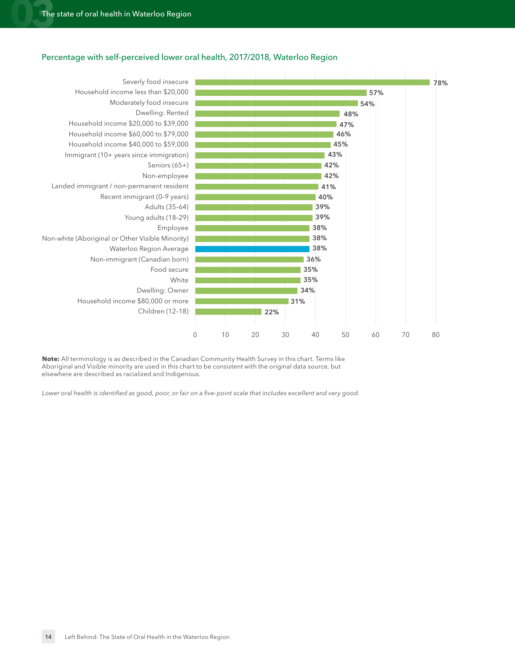



**Note:** All terminology is as described in the Canadian Community Health Survey in this chart. Terms like Aboriginal and Visible minority are used in this chart to be consistent with the original data source, but elsewhere are described as racialized and Indigenous.

*Lower oral health is identified as good, poor, or fair on a five-point scale that includes excellent and very good.*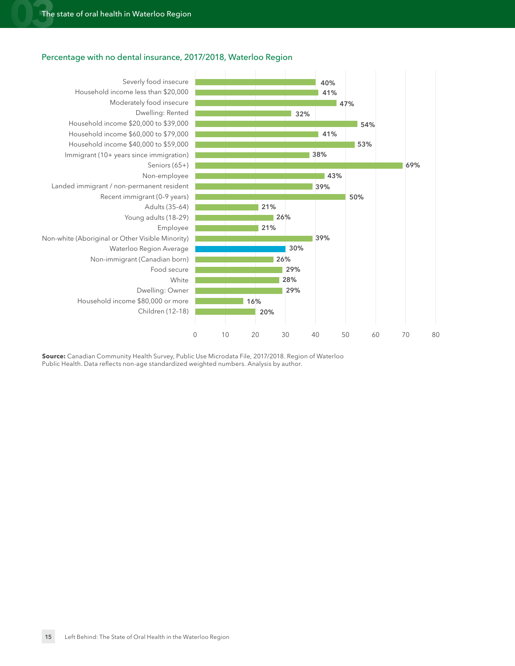#### Percentage with no dental insurance, 2017/2018, Waterloo Region



**Source:** Canadian Community Health Survey, Public Use Microdata File, 2017/2018. Region of Waterloo Public Health. Data reflects non-age standardized weighted numbers. Analysis by author.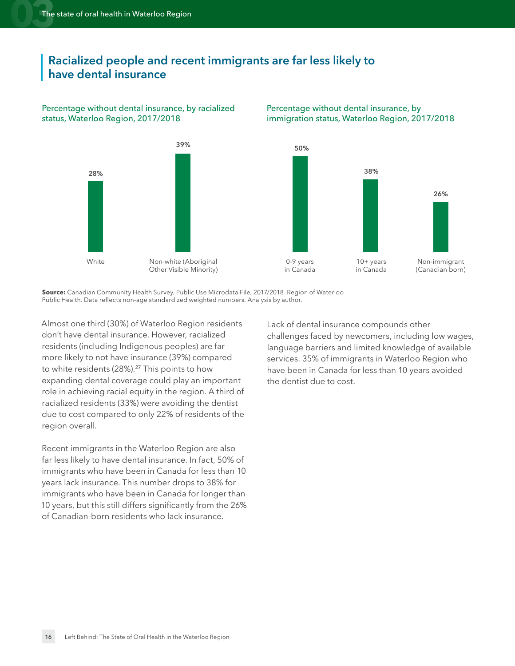#### **Racialized people and recent immigrants are far less likely to have dental insurance**

#### Percentage without dental insurance, by racialized status, Waterloo Region, 2017/2018



#### Percentage without dental insurance, by immigration status, Waterloo Region, 2017/2018

**Source:** Canadian Community Health Survey, Public Use Microdata File, 2017/2018. Region of Waterloo Public Health. Data reflects non-age standardized weighted numbers. Analysis by author.

<span id="page-15-0"></span>Almost one third (30%) of Waterloo Region residents don't have dental insurance. However, racialized residents (including Indigenous peoples) are far more likely to not have insurance (39%) compared to white residents (28%).<sup>[27](#page-31-1)</sup> This points to how expanding dental coverage could play an important role in achieving racial equity in the region. A third of racialized residents (33%) were avoiding the dentist due to cost compared to only 22% of residents of the region overall.

Recent immigrants in the Waterloo Region are also far less likely to have dental insurance. In fact, 50% of immigrants who have been in Canada for less than 10 years lack insurance. This number drops to 38% for immigrants who have been in Canada for longer than 10 years, but this still differs significantly from the 26% of Canadian-born residents who lack insurance.

Lack of dental insurance compounds other challenges faced by newcomers, including low wages, language barriers and limited knowledge of available services. 35% of immigrants in Waterloo Region who have been in Canada for less than 10 years avoided the dentist due to cost.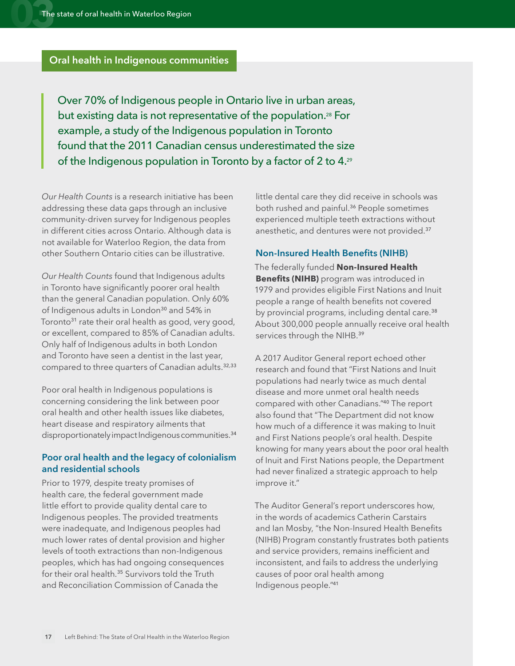#### **Oral health in Indigenous communities**

Over 70% of Indigenous people in Ontario live in urban areas, but existing data is not representative of the population[.28](#page-31-2) For example, a study of the Indigenous population in Toronto found that the 2011 Canadian census underestimated the size of the Indigenous population in Toronto by a factor of 2 to 4[.29](#page-31-3)

*Our Health Counts* is a research initiative has been addressing these data gaps through an inclusive community-driven survey for Indigenous peoples in different cities across Ontario. Although data is not available for Waterloo Region, the data from other Southern Ontario cities can be illustrative.

<span id="page-16-5"></span>*Our Health Counts* found that Indigenous adults in Toronto have significantly poorer oral health than the general Canadian population. Only 60% of Indigenous adults in London<sup>[30](#page-31-4)</sup> and 54% in Toronto<sup>[31](#page-31-5)</sup> rate their oral health as good, very good, or excellent, compared to 85% of Canadian adults. Only half of Indigenous adults in both London and Toronto have seen a dentist in the last year, compared to three quarters of Canadian adults.<sup>[32](#page-31-6),[33](#page-31-7)</sup>

Poor oral health in Indigenous populations is concerning considering the link between poor oral health and other health issues like diabetes, heart disease and respiratory ailments that disproportionately impact Indigenous communities.<sup>[34](#page-31-8)</sup>

#### <span id="page-16-0"></span>**Poor oral health and the legacy of colonialism and residential schools**

<span id="page-16-9"></span>Prior to 1979, despite treaty promises of health care, the federal government made little effort to provide quality dental care to Indigenous peoples. The provided treatments were inadequate, and Indigenous peoples had much lower rates of dental provision and higher levels of tooth extractions than non-Indigenous peoples, which has had ongoing consequences for their oral health.<sup>[35](#page-31-9)</sup> Survivors told the Truth and Reconciliation Commission of Canada the

<span id="page-16-10"></span><span id="page-16-3"></span><span id="page-16-2"></span>little dental care they did receive in schools was both rushed and painful.<sup>[36](#page-31-10)</sup> People sometimes experienced multiple teeth extractions without anesthetic, and dentures were not provided.[37](#page-31-11)

#### <span id="page-16-11"></span><span id="page-16-1"></span>**Non-Insured Health Benefits (NIHB)**

<span id="page-16-12"></span><span id="page-16-4"></span>The federally funded **Non-Insured Health Benefits (NIHB)** program was introduced in 1979 and provides eligible First Nations and Inuit people a range of health benefits not covered by provincial programs, including dental care.<sup>[38](#page-31-12)</sup> About 300,000 people annually receive oral health services through the NIHB.<sup>[39](#page-31-13)</sup>

<span id="page-16-14"></span><span id="page-16-13"></span><span id="page-16-7"></span><span id="page-16-6"></span>A 2017 Auditor General report echoed other research and found that "First Nations and Inuit populations had nearly twice as much dental disease and more unmet oral health needs compared with other Canadians."[40](#page-31-14) The report also found that "The Department did not know how much of a difference it was making to Inuit and First Nations people's oral health. Despite knowing for many years about the poor oral health of Inuit and First Nations people, the Department had never finalized a strategic approach to help improve it."

<span id="page-16-15"></span><span id="page-16-8"></span>The Auditor General's report underscores how, in the words of academics Catherin Carstairs and Ian Mosby, "the Non-Insured Health Benefits (NIHB) Program constantly frustrates both patients and service providers, remains inefficient and inconsistent, and fails to address the underlying causes of poor oral health among Indigenous people."[41](#page-31-15)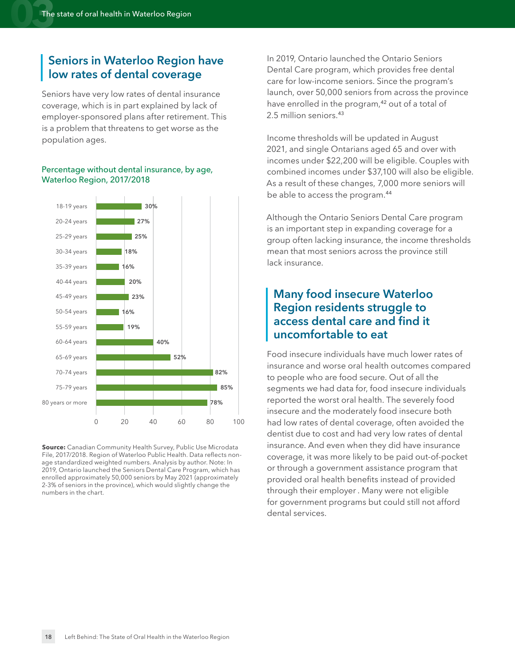#### **Seniors in Waterloo Region have low rates of dental coverage**

Seniors have very low rates of dental insurance coverage, which is in part explained by lack of employer-sponsored plans after retirement. This is a problem that threatens to get worse as the population ages.

#### Percentage without dental insurance, by age, Waterloo Region, 2017/2018



**Source:** Canadian Community Health Survey, Public Use Microdata File, 2017/2018. Region of Waterloo Public Health. Data reflects nonage standardized weighted numbers. Analysis by author. Note: In 2019, Ontario launched the Seniors Dental Care Program, which has enrolled approximately 50,000 seniors by May 2021 (approximately 2-3% of seniors in the province), which would slightly change the numbers in the chart.

In 2019, Ontario launched the Ontario Seniors Dental Care program, which provides free dental care for low-income seniors. Since the program's launch, over 50,000 seniors from across the province have enrolled in the program,<sup>[42](#page-31-16)</sup> out of a total of 2.5 million seniors.[43](#page-31-17)

<span id="page-17-1"></span><span id="page-17-0"></span>Income thresholds will be updated in August 2021, and single Ontarians aged 65 and over with incomes under \$22,200 will be eligible. Couples with combined incomes under \$37,100 will also be eligible. As a result of these changes, 7,000 more seniors will be able to access the program.[44](#page-31-18)

<span id="page-17-2"></span>Although the Ontario Seniors Dental Care program is an important step in expanding coverage for a group often lacking insurance, the income thresholds mean that most seniors across the province still lack insurance.

#### **Many food insecure Waterloo Region residents struggle to access dental care and find it uncomfortable to eat**

Food insecure individuals have much lower rates of insurance and worse oral health outcomes compared to people who are food secure. Out of all the segments we had data for, food insecure individuals reported the worst oral health. The severely food insecure and the moderately food insecure both had low rates of dental coverage, often avoided the dentist due to cost and had very low rates of dental insurance. And even when they did have insurance coverage, it was more likely to be paid out-of-pocket or through a government assistance program that provided oral health benefits instead of provided through their employer . Many were not eligible for government programs but could still not afford dental services.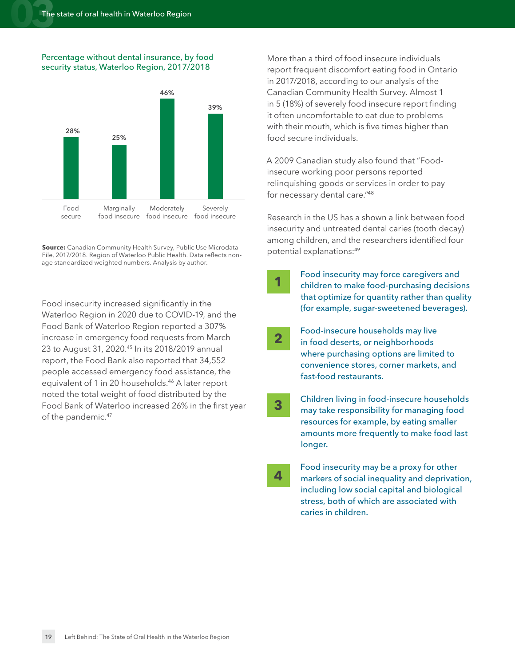#### Percentage without dental insurance, by food security status, Waterloo Region, 2017/2018



**Source:** Canadian Community Health Survey, Public Use Microdata File, 2017/2018. Region of Waterloo Public Health. Data reflects nonage standardized weighted numbers. Analysis by author.

<span id="page-18-2"></span><span id="page-18-0"></span>Food insecurity increased significantly in the Waterloo Region in 2020 due to COVID-19, and the Food Bank of Waterloo Region reported a 307% increase in emergency food requests from March 23 to August 31, 2020.<sup>45</sup> In its 2018/2019 annual report, the Food Bank also reported that 34,552 people accessed emergency food assistance, the equivalent of 1 in 20 households.[46](#page-31-20) A later report noted the total weight of food distributed by the Food Bank of Waterloo increased 26% in the first year of the pandemic.<sup>[47](#page-31-21)</sup>

More than a third of food insecure individuals report frequent discomfort eating food in Ontario in 2017/2018, according to our analysis of the Canadian Community Health Survey. Almost 1 in 5 (18%) of severely food insecure report finding it often uncomfortable to eat due to problems with their mouth, which is five times higher than food secure individuals.

A 2009 Canadian study also found that "Foodinsecure working poor persons reported relinquishing goods or services in order to pay for necessary dental care."[48](#page-31-22)

<span id="page-18-3"></span>Research in the US has a shown a link between food insecurity and untreated dental caries (tooth decay) among children, and the researchers identified four potential explanations:[49](#page-31-23)

**1**

<span id="page-18-1"></span>**3**

- <span id="page-18-4"></span>Food insecurity may force caregivers and children to make food-purchasing decisions that optimize for quantity rather than quality (for example, sugar-sweetened beverages).
- Food-insecure households may live in food deserts, or neighborhoods where purchasing options are limited to convenience stores, corner markets, and fast-food restaurants. **2**
	- Children living in food-insecure households may take responsibility for managing food resources for example, by eating smaller amounts more frequently to make food last longer.
- Food insecurity may be a proxy for other markers of social inequality and deprivation, including low social capital and biological stress, both of which are associated with caries in children. **4**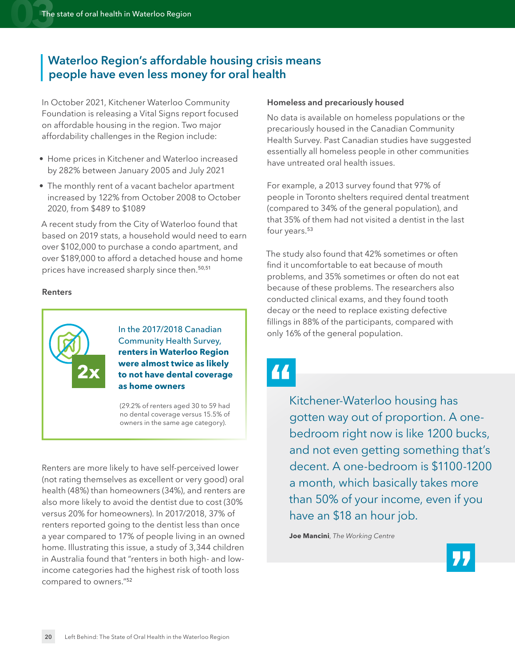#### **Waterloo Region's affordable housing crisis means people have even less money for oral health**

In October 2021, Kitchener Waterloo Community Foundation is releasing a Vital Signs report focused on affordable housing in the region. Two major affordability challenges in the Region include:

- Home prices in Kitchener and Waterloo increased by 282% between January 2005 and July 2021
- The monthly rent of a vacant bachelor apartment increased by 122% from October 2008 to October 2020, from \$489 to \$1089

A recent study from the City of Waterloo found that based on 2019 stats, a household would need to earn over \$102,000 to purchase a condo apartment, and over \$189,000 to afford a detached house and home prices have increased sharply since then.[50,](#page-31-24)[51](#page-31-25)

#### **Renters**



In the 2017/2018 Canadian Community Health Survey, **renters in Waterloo Region were almost twice as likely to not have dental coverage as home owners**

(29.2% of renters aged 30 to 59 had no dental coverage versus 15.5% of owners in the same age category).

<span id="page-19-2"></span>Renters are more likely to have self-perceived lower (not rating themselves as excellent or very good) oral health (48%) than homeowners (34%), and renters are also more likely to avoid the dentist due to cost (30% versus 20% for homeowners). In 2017/2018, 37% of renters reported going to the dentist less than once a year compared to 17% of people living in an owned home. Illustrating this issue, a study of 3,344 children in Australia found that "renters in both high- and lowincome categories had the highest risk of tooth loss compared to owners."[52](#page-31-26)

#### **Homeless and precariously housed**

No data is available on homeless populations or the precariously housed in the Canadian Community Health Survey. Past Canadian studies have suggested essentially all homeless people in other communities have untreated oral health issues.

For example, a 2013 survey found that 97% of people in Toronto shelters required dental treatment (compared to 34% of the general population), and that 35% of them had not visited a dentist in the last four years.<sup>[53](#page-31-27)</sup>

<span id="page-19-3"></span><span id="page-19-1"></span><span id="page-19-0"></span>The study also found that 42% sometimes or often find it uncomfortable to eat because of mouth problems, and 35% sometimes or often do not eat because of these problems. The researchers also conducted clinical exams, and they found tooth decay or the need to replace existing defective fillings in 88% of the participants, compared with only 16% of the general population.



Kitchener-Waterloo housing has gotten way out of proportion. A onebedroom right now is like 1200 bucks, and not even getting something that's decent. A one-bedroom is \$1100-1200 a month, which basically takes more than 50% of your income, even if you have an \$18 an hour job.

**Joe Mancini**, *The Working Centre*

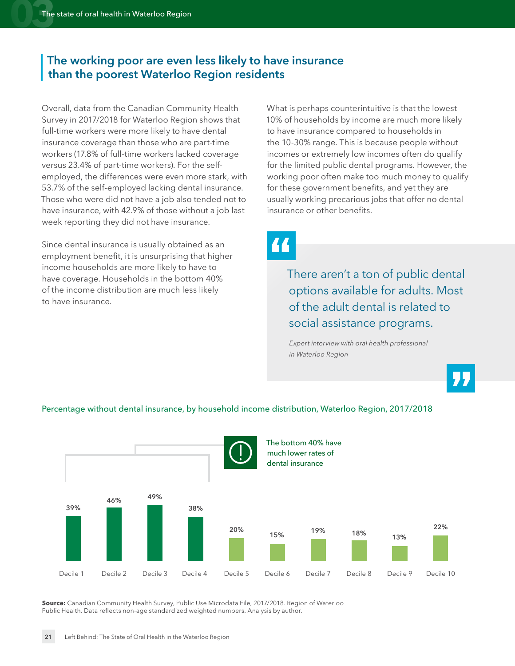#### **The working poor are even less likely to have insurance than the poorest Waterloo Region residents**

Overall, data from the Canadian Community Health Survey in 2017/2018 for Waterloo Region shows that full-time workers were more likely to have dental insurance coverage than those who are part-time workers (17.8% of full-time workers lacked coverage versus 23.4% of part-time workers). For the selfemployed, the differences were even more stark, with 53.7% of the self-employed lacking dental insurance. Those who were did not have a job also tended not to have insurance, with 42.9% of those without a job last week reporting they did not have insurance.

Since dental insurance is usually obtained as an employment benefit, it is unsurprising that higher income households are more likely to have to have coverage. Households in the bottom 40% of the income distribution are much less likely to have insurance.

What is perhaps counterintuitive is that the lowest 10% of households by income are much more likely to have insurance compared to households in the 10-30% range. This is because people without incomes or extremely low incomes often do qualify for the limited public dental programs. However, the working poor often make too much money to qualify for these government benefits, and yet they are usually working precarious jobs that offer no dental insurance or other benefits.

"

There aren't a ton of public dental options available for adults. Most of the adult dental is related to social assistance programs.

*Expert interview with oral health professional in Waterloo Region*



#### Percentage without dental insurance, by household income distribution, Waterloo Region, 2017/2018

**Source:** Canadian Community Health Survey, Public Use Microdata File, 2017/2018. Region of Waterloo Public Health. Data reflects non-age standardized weighted numbers. Analysis by author.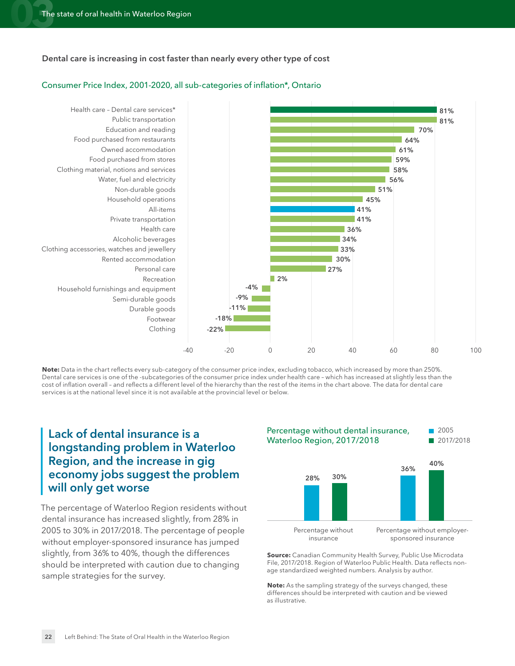#### **Dental care is increasing in cost faster than nearly every other type of cost**

#### **81% 81% 70% 64% 61% 58% 59% 56% 51% 45% 36% 41% 41% 34% 33% 30% 27% 2% -4% -9% -11% -18% -22%** Health care – Dental care services\* Public transportation Education and reading Food purchased from restaurants Owned accommodation Food purchased from stores Clothing material, notions and services Water, fuel and electricity Non-durable goods Household operations All-items Private transportation Health care Alcoholic beverages Clothing accessories, watches and jewellery Rented accommodation Personal care Recreation Household furnishings and equipment Semi-durable goods Footwear Durable goods Clothing -40 -20 0 20 40 60 80 100

#### Consumer Price Index, 2001-2020, all sub-categories of inflation\*, Ontario

**Note:** Data in the chart reflects every sub-category of the consumer price index, excluding tobacco, which increased by more than 250%. Dental care services is one of the -subcategories of the consumer price index under health care – which has increased at slightly less than the cost of inflation overall – and reflects a different level of the hierarchy than the rest of the items in the chart above. The data for dental care services is at the national level since it is not available at the provincial level or below.

#### **Lack of dental insurance is a longstanding problem in Waterloo Region, and the increase in gig economy jobs suggest the problem will only get worse**

The percentage of Waterloo Region residents without dental insurance has increased slightly, from 28% in 2005 to 30% in 2017/2018. The percentage of people without employer-sponsored insurance has jumped slightly, from 36% to 40%, though the differences should be interpreted with caution due to changing sample strategies for the survey.



**Source:** Canadian Community Health Survey, Public Use Microdata File, 2017/2018. Region of Waterloo Public Health. Data reflects nonage standardized weighted numbers. Analysis by author.

**Note:** As the sampling strategy of the surveys changed, these differences should be interpreted with caution and be viewed as illustrative.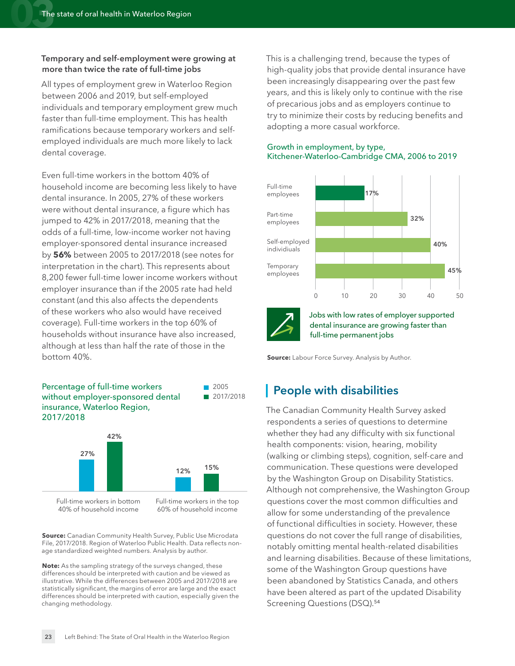#### **Temporary and self-employment were growing at more than twice the rate of full-time jobs**

All types of employment grew in Waterloo Region between 2006 and 2019, but self-employed individuals and temporary employment grew much faster than full-time employment. This has health ramifications because temporary workers and selfemployed individuals are much more likely to lack dental coverage.

Even full-time workers in the bottom 40% of household income are becoming less likely to have dental insurance. In 2005, 27% of these workers were without dental insurance, a figure which has jumped to 42% in 2017/2018, meaning that the odds of a full-time, low-income worker not having employer-sponsored dental insurance increased by **56%** between 2005 to 2017/2018 (see notes for interpretation in the chart). This represents about 8,200 fewer full-time lower income workers without employer insurance than if the 2005 rate had held constant (and this also affects the dependents of these workers who also would have received coverage). Full-time workers in the top 60% of households without insurance have also increased, although at less than half the rate of those in the bottom 40%.



Full-time workers in bottom 40% of household income

Full-time workers in the top 60% of household income

**Source:** Canadian Community Health Survey, Public Use Microdata File, 2017/2018. Region of Waterloo Public Health. Data reflects nonage standardized weighted numbers. Analysis by author.

**Note:** As the sampling strategy of the surveys changed, these differences should be interpreted with caution and be viewed as illustrative. While the differences between 2005 and 2017/2018 are statistically significant, the margins of error are large and the exact differences should be interpreted with caution, especially given the changing methodology.

This is a challenging trend, because the types of high-quality jobs that provide dental insurance have been increasingly disappearing over the past few years, and this is likely only to continue with the rise of precarious jobs and as employers continue to try to minimize their costs by reducing benefits and adopting a more casual workforce.

#### Growth in employment, by type, Kitchener-Waterloo-Cambridge CMA, 2006 to 2019





Jobs with low rates of employer supported dental insurance are growing faster than full-time permanent jobs

**Source:** Labour Force Survey. Analysis by Author.

#### **People with disabilities**

<span id="page-22-0"></span>The Canadian Community Health Survey asked respondents a series of questions to determine whether they had any difficulty with six functional health components: vision, hearing, mobility (walking or climbing steps), cognition, self-care and communication. These questions were developed by the Washington Group on Disability Statistics. Although not comprehensive, the Washington Group questions cover the most common difficulties and allow for some understanding of the prevalence of functional difficulties in society. However, these questions do not cover the full range of disabilities, notably omitting mental health-related disabilities and learning disabilities. Because of these limitations, some of the Washington Group questions have been abandoned by Statistics Canada, and others have been altered as part of the updated Disability Screening Questions (DSQ).<sup>[54](#page-31-28)</sup>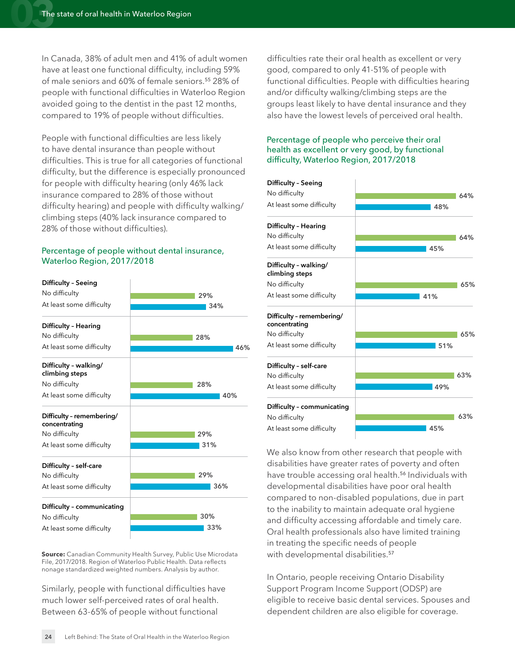In Canada, 38% of adult men and 41% of adult women have at least one functional difficulty, including 59% of male seniors and 60% of female seniors.[55](#page-32-0) 28% of people with functional difficulties in Waterloo Region avoided going to the dentist in the past 12 months, compared to 19% of people without difficulties.

People with functional difficulties are less likely to have dental insurance than people without difficulties. This is true for all categories of functional difficulty, but the difference is especially pronounced for people with difficulty hearing (only 46% lack insurance compared to 28% of those without difficulty hearing) and people with difficulty walking/ climbing steps (40% lack insurance compared to 28% of those without difficulties).

#### Percentage of people without dental insurance, Waterloo Region, 2017/2018



**Source:** Canadian Community Health Survey, Public Use Microdata File, 2017/2018. Region of Waterloo Public Health. Data reflects nonage standardized weighted numbers. Analysis by author.

Similarly, people with functional difficulties have much lower self-perceived rates of oral health. Between 63-65% of people without functional

<span id="page-23-0"></span>difficulties rate their oral health as excellent or very good, compared to only 41-51% of people with functional difficulties. People with difficulties hearing and/or difficulty walking/climbing steps are the groups least likely to have dental insurance and they also have the lowest levels of perceived oral health.

#### Percentage of people who perceive their oral health as excellent or very good, by functional difficulty, Waterloo Region, 2017/2018



<span id="page-23-1"></span>We also know from other research that people with disabilities have greater rates of poverty and often have trouble accessing oral health.<sup>[56](#page-32-1)</sup> Individuals with developmental disabilities have poor oral health compared to non-disabled populations, due in part to the inability to maintain adequate oral hygiene and difficulty accessing affordable and timely care. Oral health professionals also have limited training in treating the specific needs of people with developmental disabilities.<sup>[57](#page-32-2)</sup>

<span id="page-23-2"></span>In Ontario, people receiving Ontario Disability Support Program Income Support (ODSP) are eligible to receive basic dental services. Spouses and dependent children are also eligible for coverage.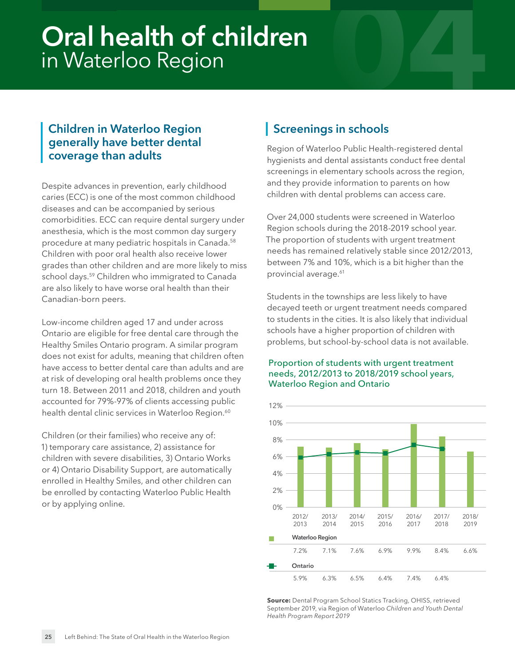## <span id="page-24-0"></span>**Oral health of children** in Waterloo Region

#### **Children in Waterloo Region generally have better dental coverage than adults**

Despite advances in prevention, early childhood caries (ECC) is one of the most common childhood diseases and can be accompanied by serious comorbidities. ECC can require dental surgery under anesthesia, which is the most common day surgery procedure at many pediatric hospitals in Canada.[58](#page-32-3) Children with poor oral health also receive lower grades than other children and are more likely to miss school days.<sup>59</sup> Children who immigrated to Canada are also likely to have worse oral health than their Canadian-born peers.

<span id="page-24-2"></span>Low-income children aged 17 and under across Ontario are eligible for free dental care through the Healthy Smiles Ontario program. A similar program does not exist for adults, meaning that children often have access to better dental care than adults and are at risk of developing oral health problems once they turn 18. Between 2011 and 2018, children and youth accounted for 79%-97% of clients accessing public health dental clinic services in Waterloo Region.<sup>60</sup>

Children (or their families) who receive any of: 1) temporary care assistance, 2) assistance for children with severe disabilities, 3) Ontario Works or 4) Ontario Disability Support, are automatically enrolled in Healthy Smiles, and other children can be enrolled by contacting Waterloo Public Health or by applying online.

#### **Screenings in schools**

Region of Waterloo Public Health-registered dental hygienists and dental assistants conduct free dental screenings in elementary schools across the region, and they provide information to parents on how children with dental problems can access care.

<span id="page-24-1"></span>Over 24,000 students were screened in Waterloo Region schools during the 2018-2019 school year. The proportion of students with urgent treatment needs has remained relatively stable since 2012/2013, between 7% and 10%, which is a bit higher than the provincial average.<sup>[61](#page-32-6)</sup>

<span id="page-24-4"></span>Students in the townships are less likely to have decayed teeth or urgent treatment needs compared to students in the cities. It is also likely that individual schools have a higher proportion of children with problems, but school-by-school data is not available.

#### Proportion of students with urgent treatment needs, 2012/2013 to 2018/2019 school years, Waterloo Region and Ontario

<span id="page-24-3"></span>

**Source:** Dental Program School Statics Tracking, OHISS, retrieved September 2019, via Region of Waterloo *Children and Youth Dental Health Program Report 2019*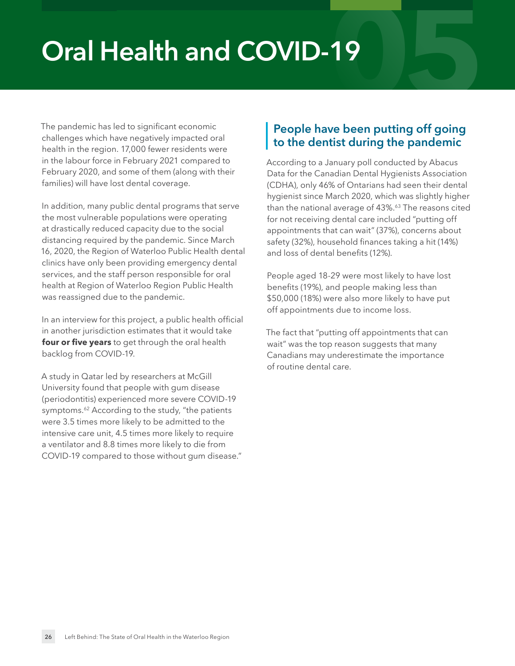## <span id="page-25-0"></span>**Oral Health and COVID-19**

The pandemic has led to significant economic challenges which have negatively impacted oral health in the region. 17,000 fewer residents were in the labour force in February 2021 compared to February 2020, and some of them (along with their families) will have lost dental coverage.

In addition, many public dental programs that serve the most vulnerable populations were operating at drastically reduced capacity due to the social distancing required by the pandemic. Since March 16, 2020, the Region of Waterloo Public Health dental clinics have only been providing emergency dental services, and the staff person responsible for oral health at Region of Waterloo Region Public Health was reassigned due to the pandemic.

In an interview for this project, a public health official in another jurisdiction estimates that it would take **four or five years** to get through the oral health backlog from COVID-19.

<span id="page-25-1"></span>A study in Qatar led by researchers at McGill University found that people with gum disease (periodontitis) experienced more severe COVID-19 symptoms.<sup>62</sup> According to the study, "the patients were 3.5 times more likely to be admitted to the intensive care unit, 4.5 times more likely to require a ventilator and 8.8 times more likely to die from COVID-19 compared to those without gum disease."

#### **People have been putting off going to the dentist during the pandemic**

<span id="page-25-2"></span>According to a January poll conducted by Abacus Data for the Canadian Dental Hygienists Association (CDHA), only 46% of Ontarians had seen their dental hygienist since March 2020, which was slightly higher than the national average of 43%.<sup>63</sup> The reasons cited for not receiving dental care included "putting off appointments that can wait" (37%), concerns about safety (32%), household finances taking a hit (14%) and loss of dental benefits (12%).

People aged 18-29 were most likely to have lost benefits (19%), and people making less than \$50,000 (18%) were also more likely to have put off appointments due to income loss.

The fact that "putting off appointments that can wait" was the top reason suggests that many Canadians may underestimate the importance of routine dental care.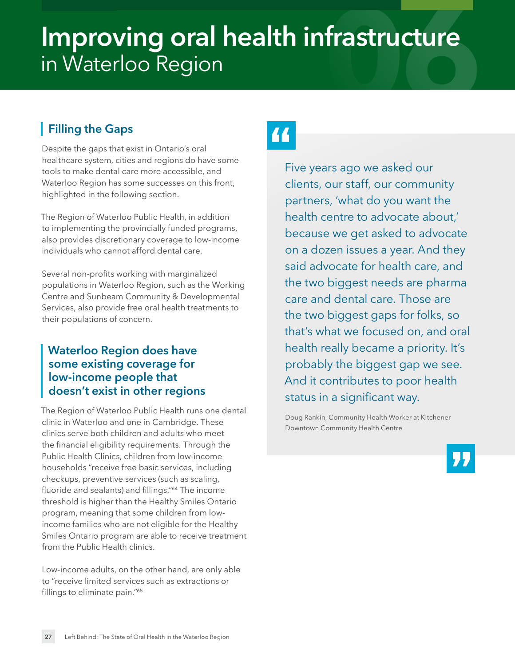## <span id="page-26-0"></span>**088 Improving oral health infrastructure**<br>in Waterloo Region<br>| Filling the Gaps in Waterloo Region

#### **Filling the Gaps**

Despite the gaps that exist in Ontario's oral healthcare system, cities and regions do have some tools to make dental care more accessible, and Waterloo Region has some successes on this front, highlighted in the following section.

The Region of Waterloo Public Health, in addition to implementing the provincially funded programs, also provides discretionary coverage to low-income individuals who cannot afford dental care.

Several non-profits working with marginalized populations in Waterloo Region, such as the Working Centre and Sunbeam Community & Developmental Services, also provide free oral health treatments to their populations of concern.

#### **Waterloo Region does have some existing coverage for low-income people that doesn't exist in other regions**

The Region of Waterloo Public Health runs one dental clinic in Waterloo and one in Cambridge. These clinics serve both children and adults who meet the financial eligibility requirements. Through the Public Health Clinics, children from low-income households "receive free basic services, including checkups, preventive services (such as scaling, fluoride and sealants) and fillings."[64](#page-32-9) The income threshold is higher than the Healthy Smiles Ontario program, meaning that some children from lowincome families who are not eligible for the Healthy Smiles Ontario program are able to receive treatment from the Public Health clinics.

<span id="page-26-2"></span>Low-income adults, on the other hand, are only able to "receive limited services such as extractions or fillings to eliminate pain."<sup>[65](#page-32-10)</sup>

Five years ago we asked our clients, our staff, our community partners, 'what do you want the health centre to advocate about,' because we get asked to advocate on a dozen issues a year. And they said advocate for health care, and the two biggest needs are pharma care and dental care. Those are the two biggest gaps for folks, so that's what we focused on, and oral health really became a priority. It's probably the biggest gap we see. And it contributes to poor health status in a significant way.

<span id="page-26-1"></span>Doug Rankin, Community Health Worker at Kitchener Downtown Community Health Centre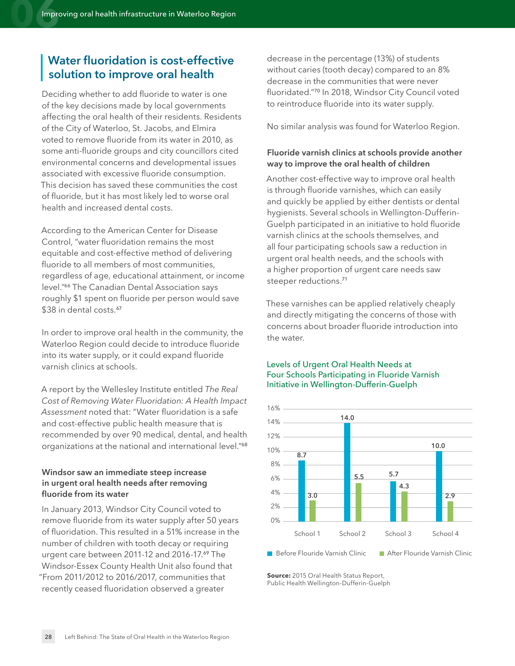#### **Water fluoridation is cost-effective solution to improve oral health**

Deciding whether to add fluoride to water is one of the key decisions made by local governments affecting the oral health of their residents. Residents of the City of Waterloo, St. Jacobs, and Elmira voted to remove fluoride from its water in 2010, as some anti-fluoride groups and city councillors cited environmental concerns and developmental issues associated with excessive fluoride consumption. This decision has saved these communities the cost of fluoride, but it has most likely led to worse oral health and increased dental costs.

According to the American Center for Disease Control, "water fluoridation remains the most equitable and cost-effective method of delivering fluoride to all members of most communities, regardless of age, educational attainment, or income level."[66](#page-32-11) The Canadian Dental Association says roughly \$1 spent on fluoride per person would save \$38 in dental costs.<sup>[67](#page-32-12)</sup>

<span id="page-27-1"></span><span id="page-27-0"></span>In order to improve oral health in the community, the Waterloo Region could decide to introduce fluoride into its water supply, or it could expand fluoride varnish clinics at schools.

A report by the Wellesley Institute entitled *The Real Cost of Removing Water Fluoridation: A Health Impact Assessment* noted that: "Water fluoridation is a safe and cost-effective public health measure that is recommended by over 90 medical, dental, and health organizations at the national and international level."[68](#page-32-13)

#### **Windsor saw an immediate steep increase in urgent oral health needs after removing fluoride from its water**

In January 2013, Windsor City Council voted to remove fluoride from its water supply after 50 years of fluoridation. This resulted in a 51% increase in the number of children with tooth decay or requiring urgent care between 2011-12 and 2016-17.[69](#page-32-14) The Windsor-Essex County Health Unit also found that "From 2011/2012 to 2016/2017, communities that recently ceased fluoridation observed a greater

<span id="page-27-4"></span>decrease in the percentage (13%) of students without caries (tooth decay) compared to an 8% decrease in the communities that were never fluoridated."[70](#page-32-15) In 2018, Windsor City Council voted to reintroduce fluoride into its water supply.

No similar analysis was found for Waterloo Region.

#### **Fluoride varnish clinics at schools provide another way to improve the oral health of children**

Another cost-effective way to improve oral health is through fluoride varnishes, which can easily and quickly be applied by either dentists or dental hygienists. Several schools in Wellington-Dufferin-Guelph participated in an initiative to hold fluoride varnish clinics at the schools themselves, and all four participating schools saw a reduction in urgent oral health needs, and the schools with a higher proportion of urgent care needs saw steeper reductions.[71](#page-32-16)

<span id="page-27-5"></span>These varnishes can be applied relatively cheaply and directly mitigating the concerns of those with concerns about broader fluoride introduction into the water.

#### Levels of Urgent Oral Health Needs at Four Schools Participating in Fluoride Varnish Initiative in Wellington-Dufferin-Guelph

<span id="page-27-2"></span>

<span id="page-27-3"></span>**Source:** 2015 Oral Health Status Report, Public Health Wellington-Dufferin-Guelph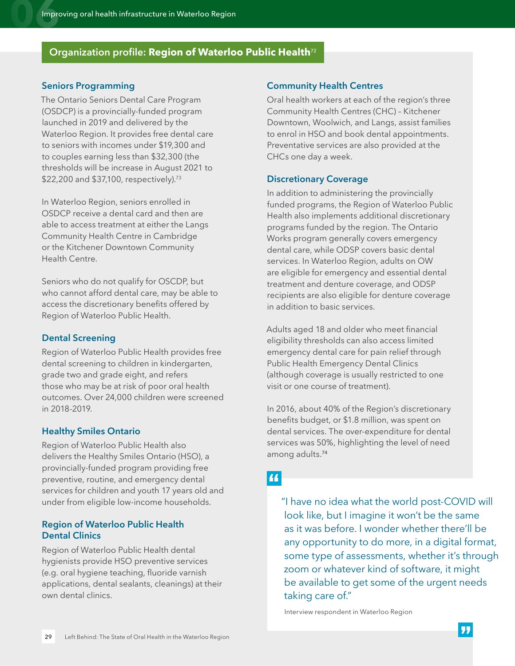#### **Organization profile: Region of Waterloo Public Health**[72](#page-32-17)

#### <span id="page-28-0"></span>**Seniors Programming**

The Ontario Seniors Dental Care Program (OSDCP) is a provincially-funded program launched in 2019 and delivered by the Waterloo Region. It provides free dental care to seniors with incomes under \$19,300 and to couples earning less than \$32,300 (the thresholds will be increase in August 2021 to \$22,200 and \$37,100, respectively).<sup>73</sup>

In Waterloo Region, seniors enrolled in OSDCP receive a dental card and then are able to access treatment at either the Langs Community Health Centre in Cambridge or the Kitchener Downtown Community Health Centre.

Seniors who do not qualify for OSCDP, but who cannot afford dental care, may be able to access the discretionary benefits offered by Region of Waterloo Public Health.

#### <span id="page-28-1"></span>**Dental Screening**

Region of Waterloo Public Health provides free dental screening to children in kindergarten, grade two and grade eight, and refers those who may be at risk of poor oral health outcomes. Over 24,000 children were screened in 2018-2019.

#### <span id="page-28-2"></span>**Healthy Smiles Ontario**

Region of Waterloo Public Health also delivers the Healthy Smiles Ontario (HSO), a provincially-funded program providing free preventive, routine, and emergency dental services for children and youth 17 years old and under from eligible low-income households.

#### <span id="page-28-3"></span>**Region of Waterloo Public Health Dental Clinics**

Region of Waterloo Public Health dental hygienists provide HSO preventive services (e.g. oral hygiene teaching, fluoride varnish applications, dental sealants, cleanings) at their own dental clinics.

#### <span id="page-28-6"></span><span id="page-28-4"></span>**Community Health Centres**

Oral health workers at each of the region's three Community Health Centres (CHC) – Kitchener Downtown, Woolwich, and Langs, assist families to enrol in HSO and book dental appointments. Preventative services are also provided at the CHCs one day a week.

#### <span id="page-28-7"></span><span id="page-28-5"></span>**Discretionary Coverage**

In addition to administering the provincially funded programs, the Region of Waterloo Public Health also implements additional discretionary programs funded by the region. The Ontario Works program generally covers emergency dental care, while ODSP covers basic dental services. In Waterloo Region, adults on OW are eligible for emergency and essential dental treatment and denture coverage, and ODSP recipients are also eligible for denture coverage in addition to basic services.

Adults aged 18 and older who meet financial eligibility thresholds can also access limited emergency dental care for pain relief through Public Health Emergency Dental Clinics (although coverage is usually restricted to one visit or one course of treatment).

In 2016, about 40% of the Region's discretionary benefits budget, or \$1.8 million, was spent on dental services. The over-expenditure for dental services was 50%, highlighting the level of need among adults.[74](#page-32-19)

#### <span id="page-28-8"></span>66

"I have no idea what the world post-COVID will look like, but I imagine it won't be the same as it was before. I wonder whether there'll be any opportunity to do more, in a digital format, some type of assessments, whether it's through zoom or whatever kind of software, it might be available to get some of the urgent needs taking care of."

Interview respondent in Waterloo Region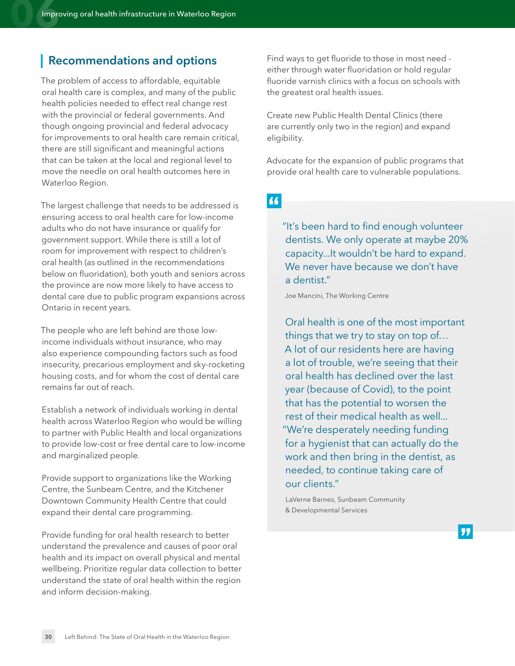#### **Recommendations and options**

The problem of access to affordable, equitable oral health care is complex, and many of the public health policies needed to effect real change rest with the provincial or federal governments. And though ongoing provincial and federal advocacy for improvements to oral health care remain critical, there are still significant and meaningful actions that can be taken at the local and regional level to move the needle on oral health outcomes here in Waterloo Region.

The largest challenge that needs to be addressed is ensuring access to oral health care for low-income adults who do not have insurance or qualify for government support. While there is still a lot of room for improvement with respect to children's oral health (as outlined in the recommendations below on fluoridation), both youth and seniors across the province are now more likely to have access to dental care due to public program expansions across Ontario in recent years.

The people who are left behind are those lowincome individuals without insurance, who may also experience compounding factors such as food insecurity, precarious employment and sky-rocketing housing costs, and for whom the cost of dental care remains far out of reach.

Establish a network of individuals working in dental health across Waterloo Region who would be willing to partner with Public Health and local organizations to provide low-cost or free dental care to low-income and marginalized people.

Provide support to organizations like the Working Centre, the Sunbeam Centre, and the Kitchener Downtown Community Health Centre that could expand their dental care programming.

Provide funding for oral health research to better understand the prevalence and causes of poor oral health and its impact on overall physical and mental wellbeing. Prioritize regular data collection to better understand the state of oral health within the region and inform decision-making.

Find ways to get fluoride to those in most need either through water fluoridation or hold regular fluoride varnish clinics with a focus on schools with the greatest oral health issues.

Create new Public Health Dental Clinics (there are currently only two in the region) and expand eligibility.

Advocate for the expansion of public programs that provide oral health care to vulnerable populations.

44

"It's been hard to find enough volunteer dentists. We only operate at maybe 20% capacity...It wouldn't be hard to expand. We never have because we don't have a dentist."

Joe Mancini, The Working Centre

Oral health is one of the most important things that we try to stay on top of… A lot of our residents here are having a lot of trouble, we're seeing that their oral health has declined over the last year (because of Covid), to the point that has the potential to worsen the rest of their medical health as well... "We're desperately needing funding for a hygienist that can actually do the work and then bring in the dentist, as needed, to continue taking care of our clients."

LaVerne Barnes, Sunbeam Community & Developmental Services

77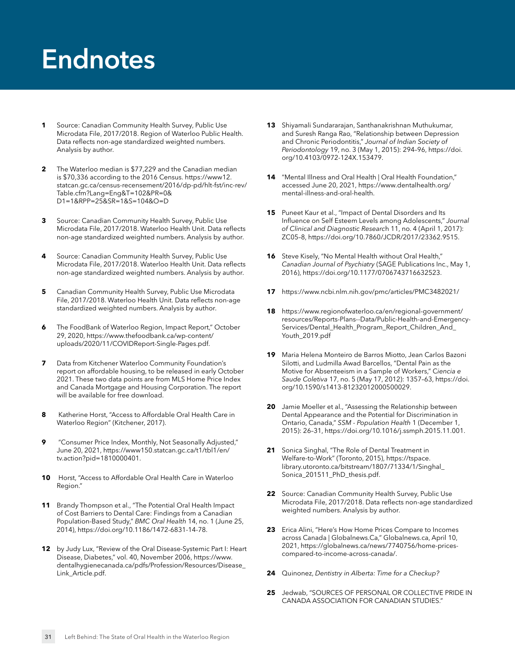## <span id="page-30-0"></span>**Endnotes**

- <span id="page-30-1"></span>**[1](#page-4-1)** Source: Canadian Community Health Survey, Public Use Microdata File, 2017/2018. Region of Waterloo Public Health. Data reflects non-age standardized weighted numbers. Analysis by author.
- <span id="page-30-2"></span>**[2](#page-5-0)** The Waterloo median is \$77,229 and the Canadian median is \$70,336 according to the 2016 Census. https://www12. [statcan.gc.ca/census-recensement/2016/dp-pd/hlt-fst/inc-rev/](https://www12.statcan.gc.ca/census-recensement/2016/dp-pd/hlt-fst/inc-rev/Table.cfm?Lang=Eng&T=102&PR=0&%20D1=1&RPP=25&SR=1&S=104&O=D) Table.cfm?Lang=Eng&T=102&PR=0& D1=1&RPP=25&SR=1&S=104&O=D
- <span id="page-30-3"></span>**[3](#page-5-1)** Source: Canadian Community Health Survey, Public Use Microdata File, 2017/2018. Waterloo Health Unit. Data reflects non-age standardized weighted numbers. Analysis by author.
- <span id="page-30-4"></span>**[4](#page-5-2)** Source: Canadian Community Health Survey, Public Use Microdata File, 2017/2018. Waterloo Health Unit. Data reflects non-age standardized weighted numbers. Analysis by author.
- <span id="page-30-5"></span>**[5](#page-5-3)** Canadian Community Health Survey, Public Use Microdata File, 2017/2018. Waterloo Health Unit. Data reflects non-age standardized weighted numbers. Analysis by author.
- <span id="page-30-6"></span>**[6](#page-5-4)** The FoodBank of Waterloo Region, Impact Report," October [29, 2020, https://www.thefoodbank.ca/wp-content/](https://www.thefoodbank.ca/wp-content/uploads/2020/11/COVIDReport-Single-Pages.pdf) uploads/2020/11/COVIDReport-Single-Pages.pdf.
- <span id="page-30-7"></span>**[7](#page-5-5)** Data from Kitchener Waterloo Community Foundation's report on affordable housing, to be released in early October 2021. These two data points are from MLS Home Price Index and Canada Mortgage and Housing Corporation. The report will be available for free download.
- <span id="page-30-8"></span>**[8](#page-7-1)** Katherine Horst, "Access to Affordable Oral Health Care in Waterloo Region" (Kitchener, 2017).
- <span id="page-30-9"></span>**[9](#page-8-0)** "Consumer Price Index, Monthly, Not Seasonally Adjusted," [June 20, 2021, https://www150.statcan.gc.ca/t1/tbl1/en/](https://www150.statcan.gc.ca/t1/tbl1/en/tv.action?pid=1810000401) tv.action?pid=1810000401.
- <span id="page-30-10"></span>**[10](#page-8-1)** Horst, "Access to Affordable Oral Health Care in Waterloo Region."
- <span id="page-30-11"></span>**[11](#page-8-2)** Brandy Thompson et al., "The Potential Oral Health Impact of Cost Barriers to Dental Care: Findings from a Canadian Population-Based Study," *BMC Oral Health* 14, no. 1 (June 25, 2014), [https://doi.org/10.1186/1472-6831-14-78.](https://doi.org/10.1186/1472-6831-14-78)
- <span id="page-30-12"></span>**[12](#page-9-6)** by Judy Lux, "Review of the Oral Disease-Systemic Part I: Heart Disease, Diabetes," vol. 40, November 2006, https://www. [dentalhygienecanada.ca/pdfs/Profession/Resources/Disease\\_](https://www.dentalhygienecanada.ca/pdfs/Profession/Resources/Disease_Link_Article.pdf) Link\_Article.pdf.
- <span id="page-30-13"></span>**[13](#page-9-7)** Shiyamali Sundararajan, Santhanakrishnan Muthukumar, and Suresh Ranga Rao, "Relationship between Depression and Chronic Periodontitis," *Journal of Indian Society of Periodontology* [19, no. 3 \(May 1, 2015\): 294–96, https://doi.](https://doi.org/10.4103/0972-124X.153479) org/10.4103/0972-124X.153479.
- <span id="page-30-14"></span>**[14](#page-9-8)** "Mental Illness and Oral Health | Oral Health Foundation," [accessed June 20, 2021, https://www.dentalhealth.org/](https://www.dentalhealth.org/mental-illness-and-oral-health) mental-illness-and-oral-health.
- <span id="page-30-15"></span>**[15](#page-9-9)** Puneet Kaur et al., "Impact of Dental Disorders and Its Influence on Self Esteem Levels among Adolescents," *Journal of Clinical and Diagnostic Researc*h 11, no. 4 (April 1, 2017): ZC05–8, [https://doi.org/10.7860/JCDR/2017/23362.9515.](https://doi.org/10.7860/JCDR/2017/23362.9515)
- <span id="page-30-16"></span>**[16](#page-9-10)** Steve Kisely, "No Mental Health without Oral Health," *Canadian Journal of Psychiatry* (SAGE Publications Inc., May 1, 2016),<https://doi.org/10.1177/0706743716632523>.
- <span id="page-30-17"></span>**[17](#page-9-11)** <https://www.ncbi.nlm.nih.gov/pmc/articles/PMC3482021/>
- <span id="page-30-18"></span>**[18](#page-9-12)** https://www.regionofwaterloo.ca/en/regional-government/ [resources/Reports-Plans--Data/Public-Health-and-Emergency-](https://www.regionofwaterloo.ca/en/regional-government/resources/Reports-Plans--Data/Public-Health-and-Emergency-Services/Dental_Health_Program_Report_Children_And_Youth_2019.pdf)Services/Dental\_Health\_Program\_Report\_Children\_And\_ Youth\_2019.pdf
- <span id="page-30-19"></span>**[19](#page-9-13)** Maria Helena Monteiro de Barros Miotto, Jean Carlos Bazoni Silotti, and Ludmilla Awad Barcellos, "Dental Pain as the Motive for Absenteeism in a Sample of Workers," C*iencia e Saude Coletiva* [17, no. 5 \(May 17, 2012\): 1357–63, https://doi.](https://doi.org/10.1590/s1413-81232012000500029) org/10.1590/s1413-81232012000500029.
- <span id="page-30-20"></span>**[20](#page-9-14)** Jamie Moeller et al., "Assessing the Relationship between Dental Appearance and the Potential for Discrimination in Ontario, Canada," *SSM - Population Health* 1 (December 1, 2015): 26–31,<https://doi.org/10.1016/j.ssmph.2015.11.001>.
- <span id="page-30-21"></span>**[21](#page-9-15)** Sonica Singhal, "The Role of Dental Treatment in Welfare-to-Work" (Toronto, 2015), https://tspace. [library.utoronto.ca/bitstream/1807/71334/1/Singhal\\_](https://tspace.library.utoronto.ca/bitstream/1807/71334/1/Singhal_Sonica_201511_PhD_thesis.pdf) Sonica\_201511\_PhD\_thesis.pdf.
- <span id="page-30-22"></span>**[22](#page-9-16)** Source: Canadian Community Health Survey, Public Use Microdata File, 2017/2018. Data reflects non-age standardized weighted numbers. Analysis by author.
- <span id="page-30-23"></span>**[23](#page-9-17)** Erica Alini, "Here's How Home Prices Compare to Incomes across Canada | [Globalnews.Ca](http://Globalnews.Ca)," [Globalnews.ca,](http://Globalnews.ca) April 10, [2021, https://globalnews.ca/news/7740756/home-prices](https://globalnews.ca/news/7740756/home-prices-compared-to-income-across-canada/)compared-to-income-across-canada/.
- <span id="page-30-24"></span>**[24](#page-10-0)** Quinonez, *Dentistry in Alberta: Time for a Checkup?*
- <span id="page-30-25"></span>**[25](#page-10-1)** Jedwab, "SOURCES OF PERSONAL OR COLLECTIVE PRIDE IN CANADA ASSOCIATION FOR CANADIAN STUDIES."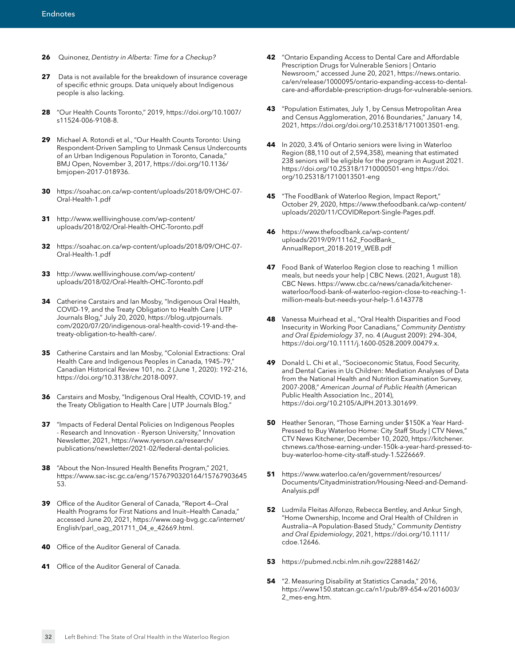- <span id="page-31-0"></span>**[26](#page-11-0)** Quinonez, *Dentistry in Alberta: Time for a Checkup?*
- <span id="page-31-1"></span>**[27](#page-15-0)** Data is not available for the breakdown of insurance coverage of specific ethnic groups. Data uniquely about Indigenous people is also lacking.
- <span id="page-31-2"></span>**[28](#page-16-2)** ["Our Health Counts Toronto," 2019, https://doi.org/10.1007/](https://doi.org/10.1007/s11524-006-9108-8) s11524-006-9108-8.
- <span id="page-31-3"></span>**[29](#page-16-3)** Michael A. Rotondi et al., "Our Health Counts Toronto: Using Respondent-Driven Sampling to Unmask Census Undercounts of an Urban Indigenous Population in Toronto, Canada," [BMJ Open, November 3, 2017, https://doi.org/10.1136/](https://doi.org/10.1136/bmjopen-2017-018936) bmjopen-2017-018936.
- <span id="page-31-4"></span>**[30](#page-16-4)** [https://soahac.on.ca/wp-content/uploads/2018/09/OHC-07-](https://soahac.on.ca/wp-content/uploads/2018/09/OHC-07-Oral-Health-1.pdf) Oral-Health-1.pdf
- <span id="page-31-5"></span>**[31](#page-16-5)** http://www.welllivinghouse.com/wp-content/ [uploads/2018/02/Oral-Health-OHC-Toronto.pdf](http://www.welllivinghouse.com/wp-content/uploads/2018/02/Oral-Health-OHC-Toronto.pdf)
- <span id="page-31-6"></span>**[32](#page-16-6)** [https://soahac.on.ca/wp-content/uploads/2018/09/OHC-07-](https://soahac.on.ca/wp-content/uploads/2018/09/OHC-07-Oral-Health-1.pdf) Oral-Health-1.pdf
- <span id="page-31-7"></span>**[33](#page-16-7)** http://www.welllivinghouse.com/wp-content/ [uploads/2018/02/Oral-Health-OHC-Toronto.pdf](http://www.welllivinghouse.com/wp-content/uploads/2018/02/Oral-Health-OHC-Toronto.pdf)
- <span id="page-31-8"></span>**[34](#page-16-8)** Catherine Carstairs and Ian Mosby, "Indigenous Oral Health, COVID-19, and the Treaty Obligation to Health Care | UTP Journals Blog," July 20, 2020, https://blog.utpjournals. [com/2020/07/20/indigenous-oral-health-covid-19-and-the](https://blog.utpjournals.com/2020/07/20/indigenous-oral-health-covid-19-and-the-treaty-obligation-to-health-care/)treaty-obligation-to-health-care/.
- <span id="page-31-9"></span>**[35](#page-16-9)** Catherine Carstairs and Ian Mosby, "Colonial Extractions: Oral Health Care and Indigenous Peoples in Canada, 1945–79," Canadian Historical Review 101, no. 2 (June 1, 2020): 192–216, [https://doi.org/10.3138/chr.2018-0097.](https://doi.org/10.3138/chr.2018-0097)
- <span id="page-31-10"></span>**[36](#page-16-10)** Carstairs and Mosby, "Indigenous Oral Health, COVID-19, and the Treaty Obligation to Health Care | UTP Journals Blog."
- <span id="page-31-11"></span>**[37](#page-16-11)** "Impacts of Federal Dental Policies on Indigenous Peoples - Research and Innovation - Ryerson University," Innovation Newsletter, 2021, https://www.ryerson.ca/research/ [publications/newsletter/2021-02/federal-dental-policies](https://www.ryerson.ca/research/publications/newsletter/2021-02/federal-dental-policies).
- <span id="page-31-12"></span>**[38](#page-16-12)** "About the Non-Insured Health Benefits Program," 2021, [https://www.sac-isc.gc.ca/eng/1576790320164/15767903645](https://www.sac-isc.gc.ca/eng/1576790320164/1576790364553) 53.
- <span id="page-31-13"></span>**[39](#page-16-13)** Office of the Auditor General of Canada, "Report 4—Oral Health Programs for First Nations and Inuit—Health Canada," [accessed June 20, 2021, https://www.oag-bvg.gc.ca/internet/](https://www.oag-bvg.gc.ca/internet/English/parl_oag_201711_04_e_42669.html) English/parl\_oag\_201711\_04\_e\_42669.html.
- <span id="page-31-14"></span>**[40](#page-16-14)** Office of the Auditor General of Canada.
- <span id="page-31-15"></span>**[41](#page-16-15)** Office of the Auditor General of Canada.
- <span id="page-31-16"></span>**[42](#page-17-0)** "Ontario Expanding Access to Dental Care and Affordable Prescription Drugs for Vulnerable Seniors | Ontario Newsroom," accessed June 20, 2021, https://news.ontario. ca/en/release/1000095/ontario-expanding-access-to-dental[care-and-affordable-prescription-drugs-for-vulnerable-seniors](https://news.ontario.ca/en/release/1000095/ontario-expanding-access-to-dental-care-and-affordable-prescription-drugs-for-vulnerable-seniors).
- <span id="page-31-17"></span>**[43](#page-17-1)** "Population Estimates, July 1, by Census Metropolitan Area and Census Agglomeration, 2016 Boundaries," January 14, 2021, <https://doi.org/doi.org/10.25318/1710013501-eng>.
- <span id="page-31-18"></span>**[44](#page-17-2)** In 2020, 3.4% of Ontario seniors were living in Waterloo Region (88,110 out of 2,594,358), meaning that estimated 238 seniors will be eligible for the program in August 2021. [https://doi.org/10.25318/1710000501-eng https://doi.](https://doi.org/10.25318/1710000501-eng%20https://doi.org/10.25318/1710013501-eng) org/10.25318/1710013501-eng
- <span id="page-31-19"></span>**[45](#page-18-0)** "The FoodBank of Waterloo Region, Impact Report," [October 29, 2020, https://www.thefoodbank.ca/wp-content/](https://www.thefoodbank.ca/wp-content/uploads/2020/11/COVIDReport-Single-Pages.pdf) uploads/2020/11/COVIDReport-Single-Pages.pdf.
- <span id="page-31-20"></span>**[46](#page-18-1)** [https://www.thefoodbank.ca/wp-content/](https://www.thefoodbank.ca/wp-content/uploads/2019/09/11162_FoodBank_AnnualReport_2018-2019_WEB.pdf) uploads/2019/09/11162\_FoodBank\_ AnnualReport\_2018-2019\_WEB.pdf
- <span id="page-31-21"></span>**[47](#page-18-2)** Food Bank of Waterloo Region close to reaching 1 million meals, but needs your help | CBC News. (2021, August 18). CBC News. https://www.cbc.ca/news/canada/kitchener[waterloo/food-bank-of-waterloo-region-close-to-reaching-1](https://www.cbc.ca/news/canada/kitchener-waterloo/food-bank-of-waterloo-region-close-to-reaching-1-million-meals-but-needs-your-help-1.6143778) million-meals-but-needs-your-help-1.6143778
- <span id="page-31-22"></span>**[48](#page-18-3)** Vanessa Muirhead et al., "Oral Health Disparities and Food Insecurity in Working Poor Canadians," *Community Dentistry and Oral Epidemiology* 37, no. 4 (August 2009): 294–304, <https://doi.org/10.1111/j.1600-0528.2009.00479.x>.
- <span id="page-31-23"></span>**[49](#page-18-4)** Donald L. Chi et al., "Socioeconomic Status, Food Security, and Dental Caries in Us Children: Mediation Analyses of Data from the National Health and Nutrition Examination Survey, 2007-2008," *American Journal of Public Health* (American Public Health Association Inc., 2014), [https://doi.org/10.2105/AJPH.2013.301699.](https://doi.org/10.2105/AJPH.2013.301699)
- <span id="page-31-24"></span>**[50](#page-19-0)** Heather Senoran, "Those Earning under \$150K a Year Hard-Pressed to Buy Waterloo Home: City Staff Study | CTV News," CTV News Kitchener, December 10, 2020, https://kitchener. [ctvnews.ca/those-earning-under-150k-a-year-hard-pressed-to](https://kitchener.ctvnews.ca/those-earning-under-150k-a-year-hard-pressed-to-buy-waterloo-home-city-staff-study-1.5226669)buy-waterloo-home-city-staff-study-1.5226669.
- <span id="page-31-25"></span>**[51](#page-19-1)** https://www.waterloo.ca/en/government/resources/ [Documents/Cityadministration/Housing-Need-and-Demand-](https://www.waterloo.ca/en/government/resources/Documents/Cityadministration/Housing-Need-and-Demand-Analysis.pdf)Analysis.pdf
- <span id="page-31-26"></span>**[52](#page-19-2)** Ludmila Fleitas Alfonzo, Rebecca Bentley, and Ankur Singh, "Home Ownership, Income and Oral Health of Children in Australia—A Population-Based Study," *Community Dentistry and Oral Epidemiology*[, 2021, https://doi.org/10.1111/](https://doi.org/10.1111/cdoe.12646) cdoe.12646.
- <span id="page-31-27"></span>**[53](#page-19-3)** <https://pubmed.ncbi.nlm.nih.gov/22881462/>
- <span id="page-31-28"></span>**[54](#page-22-0)** "2. Measuring Disability at Statistics Canada," 2016, [https://www150.statcan.gc.ca/n1/pub/89-654-x/2016003/](https://www150.statcan.gc.ca/n1/pub/89-654-x/2016003/%202_mes-eng.htm)  2\_mes-eng.htm.